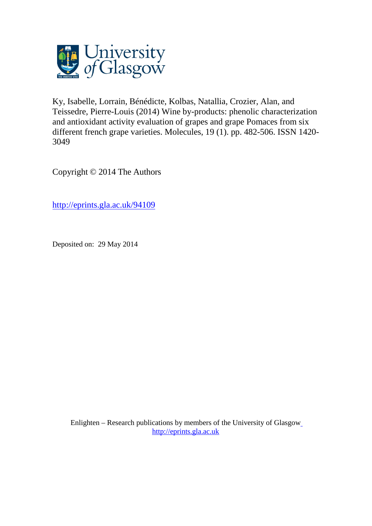

Ky, Isabelle, Lorrain, Bénédicte, Kolbas, Natallia, Crozier, Alan, and Teissedre, Pierre-Louis (2014) Wine by-products: phenolic characterization and antioxidant activity evaluation of grapes and grape Pomaces from six different french grape varieties. Molecules, 19 (1). pp. 482-506. ISSN 1420- 3049

Copyright © 2014 The Authors

<http://eprints.gla.ac.uk/94109>

Deposited on: 29 May 2014

Enlighten – Research publications by members of the University of Glasgo[w](http://eprints.gla.ac.uk/) [http://eprints.gla.ac.uk](http://eprints.gla.ac.uk/)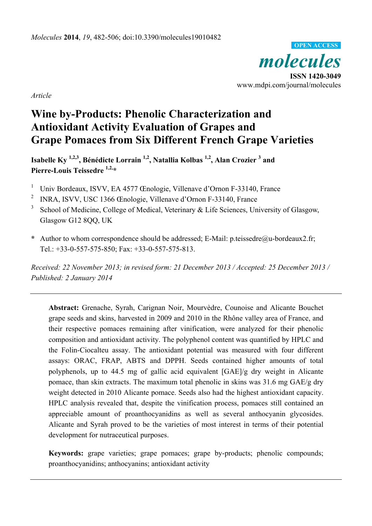*molecules*  **ISSN 1420-3049**  www.mdpi.com/journal/molecules **OPEN ACCESS**

*Article* 

# **Wine by-Products: Phenolic Characterization and Antioxidant Activity Evaluation of Grapes and Grape Pomaces from Six Different French Grape Varieties**

Isabelle Ky <sup>1,2,3</sup>, Bénédicte Lorrain <sup>1,2</sup>, Natallia Kolbas <sup>1,2</sup>, Alan Crozier <sup>3</sup> and **Pierre-Louis Teissedre 1,2,\*** 

- 1 Univ Bordeaux, ISVV, EA 4577 Œnologie, Villenave d'Ornon F-33140, France
- 2 INRA, ISVV, USC 1366 Œnologie, Villenave d'Ornon F-33140, France
- <sup>3</sup> School of Medicine, College of Medical, Veterinary  $\&$  Life Sciences, University of Glasgow, Glasgow G12 8QQ, UK
- **\*** Author to whom correspondence should be addressed; E-Mail: p.teissedre@u-bordeaux2.fr; Tel.: +33-0-557-575-850; Fax: +33-0-557-575-813.

*Received: 22 November 2013; in revised form: 21 December 2013 / Accepted: 25 December 2013 / Published: 2 January 2014* 

**Abstract:** Grenache, Syrah, Carignan Noir, Mourvèdre, Counoise and Alicante Bouchet grape seeds and skins, harvested in 2009 and 2010 in the Rhône valley area of France, and their respective pomaces remaining after vinification, were analyzed for their phenolic composition and antioxidant activity. The polyphenol content was quantified by HPLC and the Folin-Ciocalteu assay. The antioxidant potential was measured with four different assays: ORAC, FRAP, ABTS and DPPH. Seeds contained higher amounts of total polyphenols, up to 44.5 mg of gallic acid equivalent [GAE]/g dry weight in Alicante pomace, than skin extracts. The maximum total phenolic in skins was 31.6 mg GAE/g dry weight detected in 2010 Alicante pomace. Seeds also had the highest antioxidant capacity. HPLC analysis revealed that, despite the vinification process, pomaces still contained an appreciable amount of proanthocyanidins as well as several anthocyanin glycosides. Alicante and Syrah proved to be the varieties of most interest in terms of their potential development for nutraceutical purposes.

**Keywords:** grape varieties; grape pomaces; grape by-products; phenolic compounds; proanthocyanidins; anthocyanins; antioxidant activity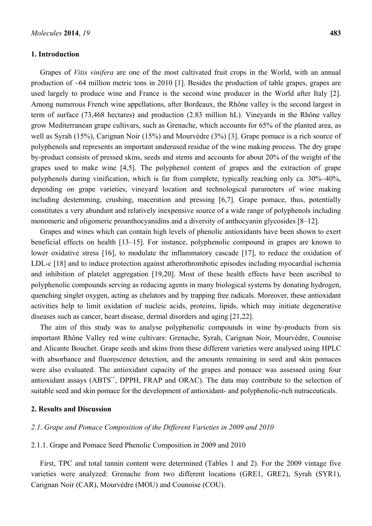#### **1. Introduction**

Grapes of *Vitis vinifera* are one of the most cultivated fruit crops in the World, with an annual production of ~64 million metric tons in 2010 [1]. Besides the production of table grapes, grapes are used largely to produce wine and France is the second wine producer in the World after Italy [2]. Among numerous French wine appellations, after Bordeaux, the Rhône valley is the second largest in term of surface (73,468 hectares) and production (2.83 million hL). Vineyards in the Rhône valley grow Mediterranean grape cultivars, such as Grenache, which accounts for 65% of the planted area, as well as Syrah (15%), Carignan Noir (15%) and Mourvèdre (3%) [3]. Grape pomace is a rich source of polyphenols and represents an important underused residue of the wine making process. The dry grape by-product consists of pressed skins, seeds and stems and accounts for about 20% of the weight of the grapes used to make wine [4,5]. The polyphenol content of grapes and the extraction of grape polyphenols during vinification, which is far from complete, typically reaching only ca. 30%–40%, depending on grape varieties, vineyard location and technological parameters of wine making including destemming, crushing, maceration and pressing [6,7]. Grape pomace, thus, potentially constitutes a very abundant and relatively inexpensive source of a wide range of polyphenols including monomeric and oligomeric proanthocyanidins and a diversity of anthocyanin glycosides [8–12].

Grapes and wines which can contain high levels of phenolic antioxidants have been shown to exert beneficial effects on health [13–15]. For instance, polyphenolic compound in grapes are known to lower oxidative stress [16], to modulate the inflammatory cascade [17], to reduce the oxidation of LDL-c [18] and to induce protection against atherothrombotic episodes including myocardial ischemia and inhibition of platelet aggregation [19,20]. Most of these health effects have been ascribed to polyphenolic compounds serving as reducing agents in many biological systems by donating hydrogen, quenching singlet oxygen, acting as chelators and by trapping free radicals. Moreover, these antioxidant activities help to limit oxidation of nucleic acids, proteins, lipids, which may initiate degenerative diseases such as cancer, heart disease, dermal disorders and aging [21,22].

The aim of this study was to analyse polyphenolic compounds in wine by-products from six important Rhône Valley red wine cultivars: Grenache, Syrah, Carignan Noir, Mourvèdre, Counoise and Alicante Bouchet. Grape seeds and skins from these different varieties were analysed using HPLC with absorbance and fluorescence detection, and the amounts remaining in seed and skin pomaces were also evaluated. The antioxidant capacity of the grapes and pomace was assessed using four antioxidant assays (ABTS**·**<sup>+</sup> , DPPH, FRAP and ORAC). The data may contribute to the selection of suitable seed and skin pomace for the development of antioxidant- and polyphenolic-rich nutraceuticals.

## **2. Results and Discussion**

## *2*.*1*. *Grape and Pomace Composition of the Different Varieties in 2009 and 2010*

#### 2.1.1. Grape and Pomace Seed Phenolic Composition in 2009 and 2010

First, TPC and total tannin content were determined (Tables 1 and 2). For the 2009 vintage five varieties were analyzed: Grenache from two different locations (GRE1, GRE2), Syrah (SYR1), Carignan Noir (CAR), Mourvèdre (MOU) and Counoise (COU).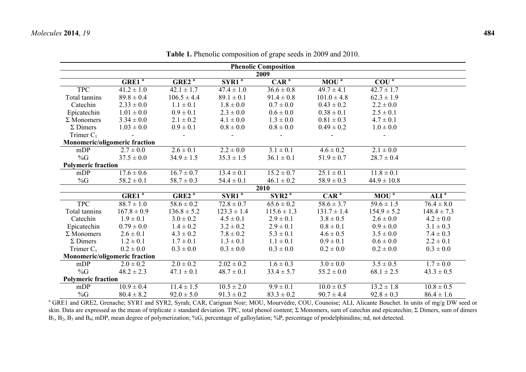|                           |                                      |                   |                   | <b>Phenolic Composition</b> |                  |                               |                           |
|---------------------------|--------------------------------------|-------------------|-------------------|-----------------------------|------------------|-------------------------------|---------------------------|
|                           |                                      |                   |                   | 2009                        |                  |                               |                           |
|                           | GRE1 <sup>a</sup>                    | GRE2 <sup>a</sup> | SYR1 <sup>a</sup> | CAR <sup>a</sup>            | MOU <sup>a</sup> | $\overline{COU}$ <sup>a</sup> |                           |
| <b>TPC</b>                | $41.2 \pm 1.0$                       | $42.1 \pm 1.7$    | $47.4 \pm 1.0$    | $36.6 \pm 0.8$              | $49.7 \pm 4.1$   | $42.7 \pm 1.7$                |                           |
| Total tannins             | $89.8 \pm 0.4$                       | $106.5 \pm 4.4$   | $89.1 \pm 0.1$    | $91.4 \pm 0.8$              | $101.0 \pm 4.8$  | $62.3 \pm 1.9$                |                           |
| Catechin                  | $2.33 \pm 0.0$                       | $1.1 \pm 0.1$     | $1.8 \pm 0.0$     | $0.7 \pm 0.0$               | $0.43 \pm 0.2$   | $2.2 \pm 0.0$                 |                           |
| Epicatechin               | $1.01 \pm 0.0$                       | $0.9 \pm 0.1$     | $2.3 \pm 0.0$     | $0.6 \pm 0.0$               | $0.38 \pm 0.1$   | $2.5 \pm 0.1$                 |                           |
| $\Sigma$ Monomers         | $3.34 \pm 0.0$                       | $2.1 \pm 0.2$     | $4.1 \pm 0.0$     | $1.3 \pm 0.0$               | $0.81 \pm 0.3$   | $4.7 \pm 0.1$                 |                           |
| $\Sigma$ Dimers           | $1.03 \pm 0.0$                       | $0.9 \pm 0.1$     | $0.8 \pm 0.0$     | $0.8 \pm 0.0$               | $0.49 \pm 0.2$   | $1.0 \pm 0.0$                 |                           |
| Trimer $C_1$              |                                      |                   |                   |                             |                  |                               |                           |
|                           | <b>Monomeric/oligomeric fraction</b> |                   |                   |                             |                  |                               |                           |
| mDP                       | $2.7 \pm 0.0$                        | $2.6 \pm 0.1$     | $2.2 \pm 0.0$     | $3.1 \pm 0.1$               | $4.6 \pm 0.2$    | $2.1 \pm 0.0$                 |                           |
| %G                        | $37.5 \pm 0.0$                       | $34.9 \pm 1.5$    | $35.3 \pm 1.5$    | $36.1 \pm 0.1$              | $51.9 \pm 0.7$   | $28.7 \pm 0.4$                |                           |
| <b>Polymeric fraction</b> |                                      |                   |                   |                             |                  |                               |                           |
| mDP                       | $17.6 \pm 0.6$                       | $16.7 \pm 0.7$    | $13.4 \pm 0.1$    | $15.2 \pm 0.7$              | $25.1 \pm 0.1$   | $11.8 \pm 0.1$                |                           |
| %G                        | $58.2 \pm 0.1$                       | $58.7 \pm 0.3$    | $54.4 \pm 0.1$    | $46.1 \pm 0.2$              | $58.9 \pm 0.3$   | $44.9 \pm 10.8$               |                           |
|                           |                                      |                   |                   | 2010                        |                  |                               |                           |
|                           | GRE1 <sup>a</sup>                    | GRE2 <sup>a</sup> | SYR1 <sup>a</sup> | SYR2 <sup>a</sup>           | CAR <sup>a</sup> | MOU <sup>a</sup>              | ALI <sup>a</sup>          |
| <b>TPC</b>                | $88.7 \pm 1.0$                       | $58.6 \pm 0.2$    | $72.8 \pm 0.7$    | $65.6 \pm 0.2$              | $58.6 \pm 3.7$   | $59.6 \pm 1.5$                | $76.4 \pm 8.0$            |
| Total tannins             | $167.8 \pm 0.9$                      | $136.8 \pm 5.2$   | $123.3 \pm 1.4$   | $115.6 \pm 1.3$             | $131.7 \pm 1.4$  | $154.9 \pm 5.2$               | $148.4 \pm 7.3$           |
| Catechin                  | $1.9 \pm 0.1$                        | $3.0 \pm 0.2$     | $4.5 \pm 0.1$     | $2.9 \pm 0.1$               | $3.8 \pm 0.5$    | $2.6 \pm 0.0$                 | $4.2 \pm 0.0$             |
| Epicatechin               | $0.79 \pm 0.0$                       | $1.4 \pm 0.2$     | $3.2 \pm 0.2$     | $2.9 \pm 0.1$               | $0.8 \pm 0.1$    | $0.9 \pm 0.0$                 | $3.1 \pm 0.3$             |
| $\Sigma$ Monomers         | $2.6 \pm 0.1$                        | $4.3 \pm 0.2$     | $7.8 \pm 0.2$     | $5.3 \pm 0.1$               | $4.6 \pm 0.5$    | $3.5 \pm 0.0$                 | $7.4 \pm 0.3$             |
| $\Sigma$ Dimers           | $1.2 \pm 0.1$                        | $1.7 \pm 0.1$     | $1.3 \pm 0.1$     | $1.1 \pm 0.1$               | $0.9 \pm 0.1$    | $0.6 \pm 0.0$                 | $2.2 \pm 0.1$             |
| Trimer $C_1$              | $0.2 \pm 0.0$                        | $0.3 \pm 0.0$     | $0.3 \pm 0.0$     | $0.3 \pm 0.0$               | $0.2 \pm 0.0$    | $0.2 \pm 0.0$                 | $0.3 \pm 0.0$             |
|                           | Monomeric/oligomeric fraction        |                   |                   |                             |                  |                               |                           |
| mDP                       | $2.0 \pm 0.2$                        | $2.0 \pm 0.2$     | $2.02 \pm 0.2$    | $1.6 \pm 0.3$               | $3.0 \pm 0.0$    | $3.5 \pm 0.5$                 | $1.7 \pm 0.0$             |
| %G                        | $48.2 \pm 2.3$                       | $47.1 \pm 0.1$    | $48.7 \pm 0.1$    | $33.4 \pm 5.7$              | $55.2 \pm 0.0$   | $68.1 \pm 2.5$                | $43.3 \pm 0.5$            |
| <b>Polymeric fraction</b> |                                      |                   |                   |                             |                  |                               |                           |
| mDP                       | $\overline{10.9} \pm 0.4$            | $11.4 \pm 1.5$    | $10.5 \pm 2.0$    | $9.9 \pm 0.1$               | $10.0 \pm 0.5$   | $\overline{13.2} \pm 1.8$     | $\overline{10.8} \pm 0.5$ |
| %G                        | $80.4 \pm 8.2$                       | $92.0 \pm 5.0$    | $91.3 \pm 0.2$    | $83.3 \pm 0.2$              | $90.7 \pm 4.4$   | $92.8 \pm 0.3$                | $86.4 \pm 1.6$            |

**Table 1.** Phenolic composition of grape seeds in 2009 and 2010.

<sup>a</sup> GRE1 and GRE2, Grenache; SYR1 and SYR2, Syrah; CAR, Carignan Noir; MOU, Mourvèdre, COU, Counoise; ALI, Alicante Bouchet. In units of mg/g DW seed or skin. Data are expressed as the mean of triplicate ± standard deviation. TPC, total phenol content; Σ Monomers, sum of catechin and epicatechin; Σ Dimers, sum of dimers B1, B2, B3 and B4; mDP, mean degree of polymerization; %G, percentage of galloylation; %P, percentage of prodelphinidins; nd, not detected.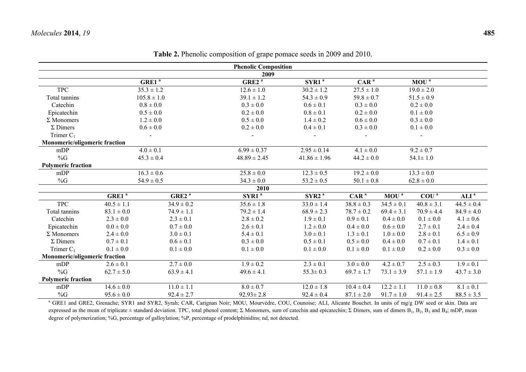|                               |                |                   | <b>Phenolic Composition</b> |                   |                  |                |                  |                  |
|-------------------------------|----------------|-------------------|-----------------------------|-------------------|------------------|----------------|------------------|------------------|
|                               |                |                   | 2009                        |                   |                  |                |                  |                  |
|                               |                | GRE1 <sup>a</sup> | GRE2 <sup>a</sup>           | SYR1 <sup>a</sup> | CAR <sup>a</sup> |                | MOU <sup>a</sup> |                  |
| <b>TPC</b>                    |                | $35.3 \pm 1.2$    | $12.6 \pm 1.0$              | $30.2 \pm 1.2$    | $27.5 \pm 1.0$   |                | $19.0 \pm 2.0$   |                  |
| Total tannins                 |                | $105.8 \pm 1.0$   | $39.1 \pm 1.2$              | $54.3 \pm 0.9$    | $59.8 \pm 0.7$   |                | $51.5 \pm 0.9$   |                  |
| Catechin                      |                | $0.8 \pm 0.0$     | $0.3 \pm 0.0$               | $0.6 \pm 0.1$     | $0.3 \pm 0.0$    |                | $0.2 \pm 0.0$    |                  |
| Epicatechin                   |                | $0.5 \pm 0.0$     | $0.2 \pm 0.0$               | $0.8 \pm 0.1$     | $0.2 \pm 0.0$    |                | $0.1 \pm 0.0$    |                  |
| $\Sigma$ Monomers             |                | $1.2 \pm 0.0$     | $0.5 \pm 0.0$               | $1.4 \pm 0.2$     | $0.6 \pm 0.0$    |                | $0.3 \pm 0.0$    |                  |
| $\Sigma$ Dimers               |                | $0.6 \pm 0.0$     | $0.2 \pm 0.0$               | $0.4 \pm 0.1$     | $0.3 \pm 0.0$    |                | $0.1 \pm 0.0$    |                  |
| Trimer $C_1$                  |                |                   |                             |                   |                  |                |                  |                  |
| Monomeric/oligomeric fraction |                |                   |                             |                   |                  |                |                  |                  |
| mDP                           |                | $4.0 \pm 0.1$     | $6.99 \pm 0.37$             | $2.95 \pm 0.14$   | $4.1 \pm 0.0$    |                | $9.2 \pm 0.7$    |                  |
| %G                            |                | $45.3 \pm 0.4$    | $48.89 \pm 2.45$            | $41.86 \pm 1.96$  | $44.2 \pm 0.0$   |                | $54.1 \pm 1.0$   |                  |
| <b>Polymeric fraction</b>     |                |                   |                             |                   |                  |                |                  |                  |
| mDP                           |                | $16.3 \pm 0.6$    | $25.8 \pm 0.0$              | $12.3 \pm 0.5$    | $19.2 \pm 0.0$   |                | $13.3 \pm 0.0$   |                  |
| %G                            |                | $54.9 \pm 0.5$    | $34.3 \pm 0.0$              | $53.2 \pm 0.5$    | $50.1 \pm 0.8$   |                | $62.8 \pm 0.0$   |                  |
|                               |                |                   | 2010                        |                   |                  |                |                  |                  |
|                               | $GRE1^a$       | GRE2 <sup>a</sup> | SYR1 <sup>a</sup>           | SYR2 <sup>a</sup> | $CAR^a$          | $MOU^a$        | COU <sup>a</sup> | ALI <sup>a</sup> |
| <b>TPC</b>                    | $40.5 \pm 1.1$ | $34.9 \pm 0.2$    | $35.6 \pm 1.8$              | $33.0 \pm 1.4$    | $38.8 \pm 0.3$   | $34.5 \pm 0.1$ | $40.8 \pm 3.1$   | $44.5 \pm 0.4$   |
| Total tannins                 | $83.1 \pm 0.0$ | $74.9 \pm 1.1$    | $79.2 \pm 1.4$              | $68.9 \pm 2.3$    | $78.7 \pm 0.2$   | $69.4 \pm 3.1$ | $70.9 \pm 4.4$   | $84.9 \pm 4.0$   |
| Catechin                      | $2.3 \pm 0.0$  | $2.3 \pm 0.1$     | $2.8 \pm 0.2$               | $1.9 \pm 0.1$     | $0.9 \pm 0.1$    | $0.4 \pm 0.0$  | $0.1 \pm 0.0$    | $4.1 \pm 0.6$    |
| Epicatechin                   | $0.0 \pm 0.0$  | $0.7 \pm 0.0$     | $2.6 \pm 0.1$               | $1.2 \pm 0.0$     | $0.4 \pm 0.0$    | $0.6 \pm 0.0$  | $2.7 \pm 0.1$    | $2.4 \pm 0.4$    |
| $\Sigma$ Monomers             | $2.4 \pm 0.0$  | $3.0 \pm 0.1$     | $5.4 \pm 0.1$               | $3.0 \pm 0.1$     | $1.3 \pm 0.1$    | $1.0 \pm 0.0$  | $2.8 \pm 0.1$    | $6.5 \pm 0.9$    |
| $\Sigma$ Dimers               | $0.7 \pm 0.1$  | $0.6 \pm 0.1$     | $0.3 \pm 0.0$               | $0.5 \pm 0.1$     | $0.5 \pm 0.0$    | $0.4 \pm 0.0$  | $0.7 \pm 0.1$    | $1.4 \pm 0.1$    |
| Trimer $C_1$                  | $0.1 \pm 0.0$  | $0.1 \pm 0.0$     | $0.1 \pm 0.0$               | $0.1 \pm 0.0$     | $0.1 \pm 0.0$    | $0.1 \pm 0.0$  | $0.2 \pm 0.0$    | $0.3 \pm 0.0$    |
| Monomeric/oligomeric fraction |                |                   |                             |                   |                  |                |                  |                  |
| mDP                           | $2.6 \pm 0.1$  | $2.7 \pm 0.0$     | $1.9 \pm 0.2$               | $2.3 \pm 0.1$     | $3.0 \pm 0.0$    | $4.2 \pm 0.7$  | $2.5 \pm 0.3$    | $1.9 \pm 0.1$    |
| $\%G$                         | $62.7 \pm 5.0$ | $63.9 \pm 4.1$    | $49.6 \pm 4.1$              | $55.3 \pm 0.3$    | $69.7 \pm 1.7$   | $73.1 \pm 3.9$ | $57.1 \pm 1.9$   | $43.7 \pm 3.0$   |
| <b>Polymeric fraction</b>     |                |                   |                             |                   |                  |                |                  |                  |
| mDP                           | $14.6 \pm 0.0$ | $11.0 \pm 1.1$    | $8.0 \pm 0.7$               | $12.0 \pm 1.8$    | $10.4 \pm 0.4$   | $12.2 \pm 1.1$ | $11.0 \pm 0.8$   | $8.1 \pm 0.1$    |
| %G                            | $95.6 \pm 0.0$ | $92.4 \pm 2.7$    | $92.93 \pm 2.8$             | $92.4 \pm 0.4$    | $87.1 \pm 2.0$   | $91.7 \pm 1.0$ | $91.4 \pm 2.5$   | $88.5 \pm 3.5$   |

**Table 2.** Phenolic composition of grape pomace seeds in 2009 and 2010.

<sup>a</sup> GRE1 and GRE2, Grenache; SYR1 and SYR2, Syrah; CAR, Carignan Noir; MOU, Mourvèdre, COU, Counoise; ALI, Alicante Bouchet. In units of mg/g DW seed or skin. Data are expressed as the mean of triplicate ± standard deviation. TPC, total phenol content; Σ Monomers, sum of catechin and epicatechin; Σ Dimers, sum of dimers  $B_1$ ,  $B_2$ ,  $B_3$  and  $B_4$ ; mDP, mean degree of polymerization; %G, percentage of galloylation; %P, percentage of prodelphinidins; nd, not detected.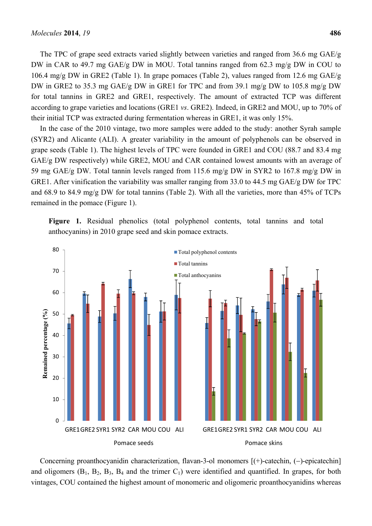The TPC of grape seed extracts varied slightly between varieties and ranged from 36.6 mg GAE/g DW in CAR to 49.7 mg GAE/g DW in MOU. Total tannins ranged from 62.3 mg/g DW in COU to 106.4 mg/g DW in GRE2 (Table 1). In grape pomaces (Table 2), values ranged from 12.6 mg GAE/g DW in GRE2 to 35.3 mg GAE/g DW in GRE1 for TPC and from 39.1 mg/g DW to 105.8 mg/g DW for total tannins in GRE2 and GRE1, respectively. The amount of extracted TCP was different according to grape varieties and locations (GRE1 *vs*. GRE2). Indeed, in GRE2 and MOU, up to 70% of their initial TCP was extracted during fermentation whereas in GRE1, it was only 15%.

In the case of the 2010 vintage, two more samples were added to the study: another Syrah sample (SYR2) and Alicante (ALI). A greater variability in the amount of polyphenols can be observed in grape seeds (Table 1). The highest levels of TPC were founded in GRE1 and COU (88.7 and 83.4 mg GAE/g DW respectively) while GRE2, MOU and CAR contained lowest amounts with an average of 59 mg GAE/g DW. Total tannin levels ranged from 115.6 mg/g DW in SYR2 to 167.8 mg/g DW in GRE1. After vinification the variability was smaller ranging from 33.0 to 44.5 mg GAE/g DW for TPC and 68.9 to 84.9 mg/g DW for total tannins (Table 2). With all the varieties, more than 45% of TCPs remained in the pomace (Figure 1).

**Figure 1.** Residual phenolics (total polyphenol contents, total tannins and total anthocyanins) in 2010 grape seed and skin pomace extracts.



Concerning proanthocyanidin characterization, flavan-3-ol monomers  $[(+)$ -catechin,  $(-)$ -epicatechin] and oligomers  $(B_1, B_2, B_3, B_4$  and the trimer  $C_1$ ) were identified and quantified. In grapes, for both vintages, COU contained the highest amount of monomeric and oligomeric proanthocyanidins whereas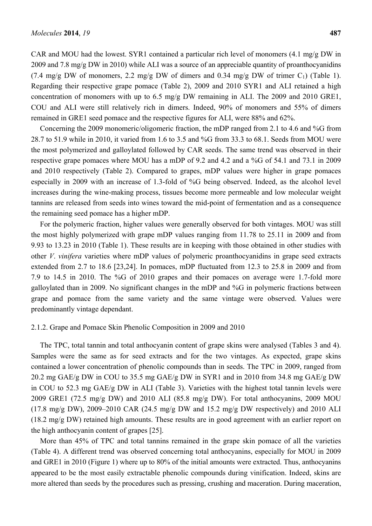CAR and MOU had the lowest. SYR1 contained a particular rich level of monomers (4.1 mg/g DW in 2009 and 7.8 mg/g DW in 2010) while ALI was a source of an appreciable quantity of proanthocyanidins (7.4 mg/g DW of monomers, 2.2 mg/g DW of dimers and 0.34 mg/g DW of trimer  $C_1$ ) (Table 1). Regarding their respective grape pomace (Table 2), 2009 and 2010 SYR1 and ALI retained a high concentration of monomers with up to 6.5 mg/g DW remaining in ALI. The 2009 and 2010 GRE1, COU and ALI were still relatively rich in dimers. Indeed, 90% of monomers and 55% of dimers remained in GRE1 seed pomace and the respective figures for ALI, were 88% and 62%.

Concerning the 2009 monomeric/oligomeric fraction, the mDP ranged from 2.1 to 4.6 and %G from 28.7 to 51.9 while in 2010, it varied from 1.6 to 3.5 and %G from 33.3 to 68.1. Seeds from MOU were the most polymerized and galloylated followed by CAR seeds. The same trend was observed in their respective grape pomaces where MOU has a mDP of 9.2 and 4.2 and a %G of 54.1 and 73.1 in 2009 and 2010 respectively (Table 2). Compared to grapes, mDP values were higher in grape pomaces especially in 2009 with an increase of 1.3-fold of %G being observed. Indeed, as the alcohol level increases during the wine-making process, tissues become more permeable and low molecular weight tannins are released from seeds into wines toward the mid-point of fermentation and as a consequence the remaining seed pomace has a higher mDP.

For the polymeric fraction, higher values were generally observed for both vintages. MOU was still the most highly polymerized with grape mDP values ranging from 11.78 to 25.11 in 2009 and from 9.93 to 13.23 in 2010 (Table 1). These results are in keeping with those obtained in other studies with other *V*. *vinifera* varieties where mDP values of polymeric proanthocyanidins in grape seed extracts extended from 2.7 to 18.6 [23,24]. In pomaces, mDP fluctuated from 12.3 to 25.8 in 2009 and from 7.9 to 14.5 in 2010. The %G of 2010 grapes and their pomaces on average were 1.7-fold more galloylated than in 2009. No significant changes in the mDP and %G in polymeric fractions between grape and pomace from the same variety and the same vintage were observed. Values were predominantly vintage dependant.

## 2.1.2. Grape and Pomace Skin Phenolic Composition in 2009 and 2010

The TPC, total tannin and total anthocyanin content of grape skins were analysed (Tables 3 and 4). Samples were the same as for seed extracts and for the two vintages. As expected, grape skins contained a lower concentration of phenolic compounds than in seeds. The TPC in 2009, ranged from 20.2 mg GAE/g DW in COU to 35.5 mg GAE/g DW in SYR1 and in 2010 from 34.8 mg GAE/g DW in COU to 52.3 mg GAE/g DW in ALI (Table 3). Varieties with the highest total tannin levels were 2009 GRE1 (72.5 mg/g DW) and 2010 ALI (85.8 mg/g DW). For total anthocyanins, 2009 MOU (17.8 mg/g DW), 2009–2010 CAR (24.5 mg/g DW and 15.2 mg/g DW respectively) and 2010 ALI (18.2 mg/g DW) retained high amounts. These results are in good agreement with an earlier report on the high anthocyanin content of grapes [25].

More than 45% of TPC and total tannins remained in the grape skin pomace of all the varieties (Table 4). A different trend was observed concerning total anthocyanins, especially for MOU in 2009 and GRE1 in 2010 (Figure 1) where up to 80% of the initial amounts were extracted. Thus, anthocyanins appeared to be the most easily extractable phenolic compounds during vinification. Indeed, skins are more altered than seeds by the procedures such as pressing, crushing and maceration. During maceration,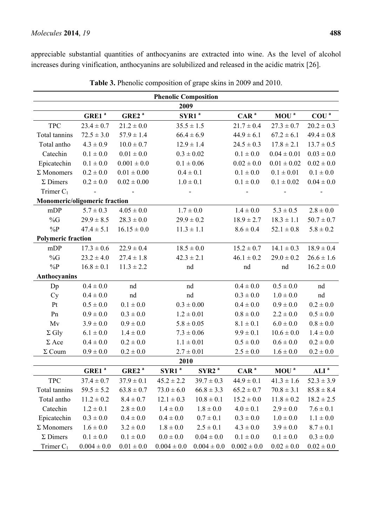appreciable substantial quantities of anthocyanins are extracted into wine. As the level of alcohol increases during vinification, anthocyanins are solubilized and released in the acidic matrix [26].

|                                      |                   |                   | <b>Phenolic Composition</b> |                   |                  |                  |                  |
|--------------------------------------|-------------------|-------------------|-----------------------------|-------------------|------------------|------------------|------------------|
|                                      |                   |                   | 2009                        |                   |                  |                  |                  |
|                                      | GRE1 <sup>a</sup> | GRE2 <sup>a</sup> |                             | SYR1 <sup>a</sup> | CAR <sup>a</sup> | MOU <sup>a</sup> | COU <sup>a</sup> |
| <b>TPC</b>                           | $23.4 \pm 0.7$    | $21.2 \pm 0.0$    |                             | $35.5 \pm 1.5$    | $21.7 \pm 0.4$   | $27.3 \pm 0.7$   | $20.2 \pm 0.3$   |
| Total tannins                        | $72.5 \pm 3.0$    | $57.9 \pm 1.4$    |                             | $66.4 \pm 6.9$    | $44.9 \pm 6.1$   | $67.2 \pm 6.1$   | $49.4 \pm 0.8$   |
| Total antho                          | $4.3 \pm 0.9$     | $10.0 \pm 0.7$    |                             | $12.9 \pm 1.4$    | $24.5 \pm 0.3$   | $17.8 \pm 2.1$   | $13.7 \pm 0.5$   |
| Catechin                             | $0.1 \pm 0.0$     | $0.01 \pm 0.0$    |                             | $0.3 \pm 0.02$    | $0.1 \pm 0.0$    | $0.04 \pm 0.01$  | $0.03 \pm 0.0$   |
| Epicatechin                          | $0.1 \pm 0.0$     | $0.001 \pm 0.0$   |                             | $0.1 \pm 0.06$    | $0.02 \pm 0.0$   | $0.01 \pm 0.02$  | $0.02 \pm 0.0$   |
| $\Sigma$ Monomers                    | $0.2 \pm 0.0$     | $0.01 \pm 0.00$   |                             | $0.4 \pm 0.1$     | $0.1 \pm 0.0$    | $0.1 \pm 0.01$   | $0.1 \pm 0.0$    |
| $\Sigma$ Dimers                      | $0.2 \pm 0.0$     | $0.02 \pm 0.00$   |                             | $1.0 \pm 0.1$     | $0.1 \pm 0.0$    | $0.1 \pm 0.02$   | $0.04 \pm 0.0$   |
| Trimer $C_1$                         |                   |                   |                             |                   |                  |                  |                  |
| <b>Monomeric/oligomeric fraction</b> |                   |                   |                             |                   |                  |                  |                  |
| mDP                                  | $5.7 \pm 0.3$     | $4.05 \pm 0.0$    |                             | $1.7 \pm 0.0$     | $1.4 \pm 0.0$    | $5.3 \pm 0.5$    | $2.8 \pm 0.0$    |
| %G                                   | $29.9 \pm 8.5$    | $28.3 \pm 0.0$    |                             | $29.9 \pm 0.2$    | $18.9 \pm 2.7$   | $18.3 \pm 1.1$   | $50.7 \pm 0.7$   |
| $\%P$                                | $47.4 \pm 5.1$    | $16.15 \pm 0.0$   |                             | $11.3 \pm 1.1$    | $8.6 \pm 0.4$    | $52.1 \pm 0.8$   | $5.8 \pm 0.2$    |
| <b>Polymeric fraction</b>            |                   |                   |                             |                   |                  |                  |                  |
| mDP                                  | $17.3 \pm 0.6$    | $22.9 \pm 0.4$    |                             | $18.5 \pm 0.0$    | $15.2 \pm 0.7$   | $14.1 \pm 0.3$   | $18.9 \pm 0.4$   |
| %G                                   | $23.2 \pm 4.0$    | $27.4 \pm 1.8$    |                             | $42.3 \pm 2.1$    | $46.1 \pm 0.2$   | $29.0 \pm 0.2$   | $26.6 \pm 1.6$   |
| $\%P$                                | $16.8 \pm 0.1$    | $11.3 \pm 2.2$    |                             | nd                | nd               | nd               | $16.2 \pm 0.0$   |
| Anthocyanins                         |                   |                   |                             |                   |                  |                  |                  |
| Dp                                   | $0.4 \pm 0.0$     | nd                |                             | nd                | $0.4 \pm 0.0$    | $0.5 \pm 0.0$    | nd               |
| Cy                                   | $0.4 \pm 0.0$     | nd                |                             | nd                | $0.3\pm0.0$      | $1.0\pm0.0$      | nd               |
| Pt                                   | $0.5 \pm 0.0$     | $0.1 \pm 0.0$     |                             | $0.3 \pm 0.00$    | $0.4 \pm 0.0$    | $0.9 \pm 0.0$    | $0.2 \pm 0.0$    |
| Pn                                   | $0.9 \pm 0.0$     | $0.3 \pm 0.0$     |                             | $1.2 \pm 0.01$    | $0.8 \pm 0.0$    | $2.2 \pm 0.0$    | $0.5 \pm 0.0$    |
| Mv                                   | $3.9 \pm 0.0$     | $0.9 \pm 0.0$     |                             | $5.8 \pm 0.05$    | $8.1 \pm 0.1$    | $6.0 \pm 0.0$    | $0.8 \pm 0.0$    |
| $\Sigma$ Gly                         | $6.1 \pm 0.0$     | $1.4 \pm 0.0$     |                             | $7.3 \pm 0.06$    | $9.9 \pm 0.1$    | $10.6 \pm 0.0$   | $1.4 \pm 0.0$    |
| $\Sigma$ Ace                         | $0.4 \pm 0.0$     | $0.2 \pm 0.0$     |                             | $1.1 \pm 0.01$    | $0.5 \pm 0.0$    | $0.6 \pm 0.0$    | $0.2 \pm 0.0$    |
| $\Sigma$ Coum                        | $0.9 \pm 0.0$     | $0.2 \pm 0.0$     |                             | $2.7 \pm 0.01$    | $2.5 \pm 0.0$    | $1.6 \pm 0.0$    | $0.2 \pm 0.0$    |
|                                      |                   |                   | 2010                        |                   |                  |                  |                  |
|                                      | GRE1 <sup>a</sup> | GRE2 <sup>a</sup> | SYR1 <sup>a</sup>           | SYR2 <sup>a</sup> | CAR <sup>a</sup> | $MOU^a$          | ALI <sup>a</sup> |
| <b>TPC</b>                           | $37.4 \pm 0.7$    | $37.9 \pm 0.1$    | $45.2 \pm 2.2$              | $39.7 \pm 0.3$    | $44.9 \pm 0.1$   | $41.3 \pm 1.6$   | $52.3 \pm 3.9$   |
| Total tannins                        | $59.5 \pm 5.2$    | $63.8 \pm 0.7$    | $73.0 \pm 6.0$              | $66.8 \pm 3.3$    | $65.2 \pm 0.7$   | $70.8 \pm 3.1$   | $85.8 \pm 8.4$   |
| Total antho                          | $11.2 \pm 0.2$    | $8.4 \pm 0.7$     | $12.1 \pm 0.3$              | $10.8 \pm 0.1$    | $15.2 \pm 0.0$   | $11.8 \pm 0.2$   | $18.2 \pm 2.5$   |
| Catechin                             | $1.2 \pm 0.1$     | $2.8 \pm 0.0$     | $1.4 \pm 0.0$               | $1.8 \pm 0.0$     | $4.0 \pm 0.1$    | $2.9 \pm 0.0$    | $7.6 \pm 0.1$    |
| Epicatechin                          | $0.3 \pm 0.0$     | $0.4 \pm 0.0$     | $0.4 \pm 0.0$               | $0.7 \pm 0.1$     | $0.3 \pm 0.0$    | $1.0 \pm 0.0$    | $1.1 \pm 0.0$    |
| $\Sigma$ Monomers                    | $1.6 \pm 0.0$     | $3.2 \pm 0.0$     | $1.8 \pm 0.0$               | $2.5 \pm 0.1$     | $4.3 \pm 0.0$    | $3.9 \pm 0.0$    | $8.7 \pm 0.1$    |
| $\Sigma$ Dimers                      | $0.1 \pm 0.0$     | $0.1 \pm 0.0$     | $0.0\pm0.0$                 | $0.04 \pm 0.0$    | $0.1 \pm 0.0$    | $0.1 \pm 0.0$    | $0.3 \pm 0.0$    |
| Trimer $C_1$                         | $0.004 \pm 0.0$   | $0.01 \pm 0.0$    | $0.004 \pm 0.0$             | $0.004 \pm 0.0$   | $0.002 \pm 0.0$  | $0.02 \pm 0.0$   | $0.02 \pm 0.0$   |

**Table 3.** Phenolic composition of grape skins in 2009 and 2010.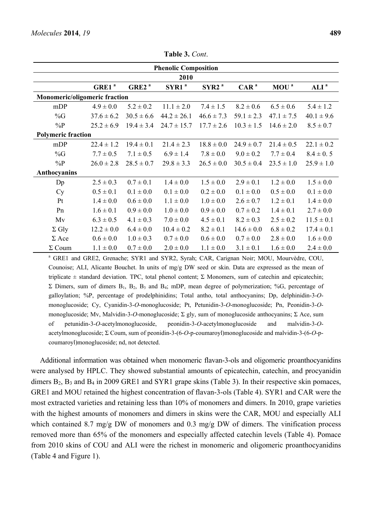|                                      |                   |                   | <b>Phenolic Composition</b> |                   |                  |                  |                  |
|--------------------------------------|-------------------|-------------------|-----------------------------|-------------------|------------------|------------------|------------------|
|                                      |                   |                   | 2010                        |                   |                  |                  |                  |
|                                      | GRE1 <sup>a</sup> | GRE2 <sup>a</sup> | SYR1 <sup>a</sup>           | SYR2 <sup>a</sup> | CAR <sup>a</sup> | MOU <sup>a</sup> | ALI <sup>a</sup> |
| <b>Monomeric/oligomeric fraction</b> |                   |                   |                             |                   |                  |                  |                  |
| mDP                                  | $4.9 \pm 0.0$     | $5.2 \pm 0.2$     | $11.1 \pm 2.0$              | $7.4 \pm 1.5$     | $8.2 \pm 0.6$    | $6.5 \pm 0.6$    | $5.4 \pm 1.2$    |
| %G                                   | $37.6 \pm 6.2$    | $30.5 \pm 6.6$    | $44.2 \pm 26.1$             | $46.6 \pm 7.3$    | $59.1 \pm 2.3$   | $47.1 \pm 7.5$   | $40.1 \pm 9.6$   |
| $\%P$                                | $25.2 \pm 6.9$    | $19.4 \pm 3.4$    | $24.7 \pm 15.7$             | $17.7 \pm 2.6$    | $10.3 \pm 1.5$   | $14.6 \pm 2.0$   | $8.5 \pm 0.7$    |
| <b>Polymeric fraction</b>            |                   |                   |                             |                   |                  |                  |                  |
| mDP                                  | $22.4 \pm 1.2$    | $19.4 \pm 0.1$    | $21.4 \pm 2.3$              | $18.8 \pm 0.0$    | $24.9 \pm 0.7$   | $21.4 \pm 0.5$   | $22.1 \pm 0.2$   |
| %G                                   | $7.7 \pm 0.5$     | $7.1 \pm 0.5$     | $6.9 \pm 1.4$               | $7.8 \pm 0.0$     | $9.0 \pm 0.2$    | $7.7 \pm 0.4$    | $8.4 \pm 0.5$    |
| $\%P$                                | $26.0 \pm 2.8$    | $28.5 \pm 0.7$    | $29.8 \pm 3.3$              | $26.5 \pm 0.0$    | $30.5 \pm 0.4$   | $23.5 \pm 1.0$   | $25.9 \pm 1.0$   |
| Anthocyanins                         |                   |                   |                             |                   |                  |                  |                  |
| Dp                                   | $2.5 \pm 0.3$     | $0.7 \pm 0.1$     | $1.4 \pm 0.0$               | $1.5 \pm 0.0$     | $2.9 \pm 0.1$    | $1.2 \pm 0.0$    | $1.5 \pm 0.0$    |
| Cy                                   | $0.5 \pm 0.1$     | $0.1 \pm 0.0$     | $0.1 \pm 0.0$               | $0.2 \pm 0.0$     | $0.1 \pm 0.0$    | $0.5 \pm 0.0$    | $0.1 \pm 0.0$    |
| Pt                                   | $1.4 \pm 0.0$     | $0.6 \pm 0.0$     | $1.1 \pm 0.0$               | $1.0 \pm 0.0$     | $2.6 \pm 0.7$    | $1.2 \pm 0.1$    | $1.4 \pm 0.0$    |
| Pn                                   | $1.6 \pm 0.1$     | $0.9 \pm 0.0$     | $1.0 \pm 0.0$               | $0.9 \pm 0.0$     | $0.7 \pm 0.2$    | $1.4 \pm 0.1$    | $2.7 \pm 0.0$    |
| Mv                                   | $6.3 \pm 0.5$     | $4.1 \pm 0.3$     | $7.0 \pm 0.0$               | $4.5 \pm 0.1$     | $8.2 \pm 0.3$    | $2.5 \pm 0.2$    | $11.5 \pm 0.1$   |
| $\Sigma$ Gly                         | $12.2 \pm 0.0$    | $6.4 \pm 0.0$     | $10.4 \pm 0.2$              | $8.2 \pm 0.1$     | $14.6 \pm 0.0$   | $6.8 \pm 0.2$    | $17.4 \pm 0.1$   |
| $\Sigma$ Ace                         | $0.6 \pm 0.0$     | $1.0 \pm 0.3$     | $0.7 \pm 0.0$               | $0.6 \pm 0.0$     | $0.7 \pm 0.0$    | $2.8 \pm 0.0$    | $1.6 \pm 0.0$    |
|                                      |                   |                   |                             |                   |                  |                  |                  |

**Table 3.** *Cont*.

<sup>a</sup> GRE1 and GRE2, Grenache; SYR1 and SYR2, Syrah; CAR, Carignan Noir; MOU, Mourvèdre, COU, Counoise; ALI, Alicante Bouchet. In units of mg/g DW seed or skin. Data are expressed as the mean of triplicate  $\pm$  standard deviation. TPC, total phenol content; Σ Monomers, sum of catechin and epicatechin; Σ Dimers, sum of dimers  $B_1$ ,  $B_2$ ,  $B_3$  and  $B_4$ ; mDP, mean degree of polymerization; %G, percentage of galloylation; %P, percentage of prodelphinidins; Total antho, total anthocyanins; Dp, delphinidin-3-*O*monoglucoside; Cy, Cyanidin-3-*O*-monoglucoside; Pt, Petunidin-3-*O*-monoglucoside; Pn, Peonidin-3-*O*monoglucoside; Mv, Malvidin-3-*O*-monoglucoside; Σ gly, sum of monoglucoside anthocyanins; Σ Ace, sum of petunidin-3-*O*-acetylmonoglucoside, peonidin-3-*O*-acetylmonoglucoside and malvidin-3-*O*acetylmonoglucoside; Σ Coum, sum of peonidin-3-(6-*O*-p-coumaroyl)monoglucoside and malvidin-3-(6-*O*-pcoumaroyl)monoglucoside; nd, not detected.

 $\Sigma$  Coum 1.1  $\pm$  0.0 0.7  $\pm$  0.0 2.0  $\pm$  0.0 1.1  $\pm$  0.0 3.1  $\pm$  0.1 1.6  $\pm$  0.0 2.4  $\pm$  0.0

Additional information was obtained when monomeric flavan-3-ols and oligomeric proanthocyanidins were analysed by HPLC. They showed substantial amounts of epicatechin, catechin, and procyanidin dimers  $B_2$ ,  $B_3$  and  $B_4$  in 2009 GRE1 and SYR1 grape skins (Table 3). In their respective skin pomaces, GRE1 and MOU retained the highest concentration of flavan-3-ols (Table 4). SYR1 and CAR were the most extracted varieties and retaining less than 10% of monomers and dimers. In 2010, grape varieties with the highest amounts of monomers and dimers in skins were the CAR, MOU and especially ALI which contained 8.7 mg/g DW of monomers and 0.3 mg/g DW of dimers. The vinification process removed more than 65% of the monomers and especially affected catechin levels (Table 4). Pomace from 2010 skins of COU and ALI were the richest in monomeric and oligomeric proanthocyanidins (Table 4 and Figure 1).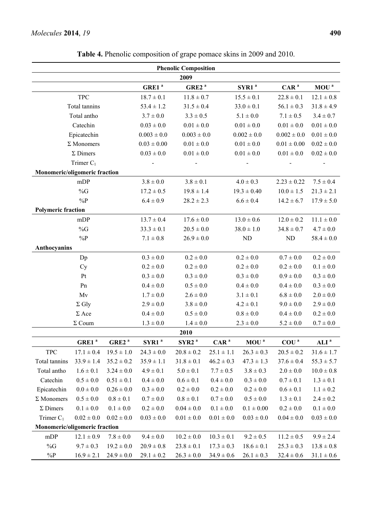## *Molecules* **2014**, *19* **490**

|                               |                   |                   |                   | <b>Phenolic Composition</b> |                  |                   |                  |                  |
|-------------------------------|-------------------|-------------------|-------------------|-----------------------------|------------------|-------------------|------------------|------------------|
|                               |                   |                   |                   | 2009                        |                  |                   |                  |                  |
|                               |                   |                   | GRE1 <sup>a</sup> | GRE2 <sup>a</sup>           |                  | SYR1 <sup>a</sup> | CAR <sup>a</sup> | MOU <sup>a</sup> |
|                               | <b>TPC</b>        |                   | $18.7 \pm 0.1$    | $11.8 \pm 0.7$              |                  | $15.5 \pm 0.1$    | $22.8 \pm 0.1$   | $12.1 \pm 0.8$   |
|                               | Total tannins     |                   | $53.4 \pm 1.2$    | $31.5 \pm 0.4$              |                  | $33.0 \pm 0.1$    | $56.1 \pm 0.3$   | $31.8 \pm 4.9$   |
|                               | Total antho       |                   | $3.7 \pm 0.0$     | $3.3 \pm 0.5$               |                  | $5.1 \pm 0.0$     | $7.1 \pm 0.5$    | $3.4 \pm 0.7$    |
|                               | Catechin          |                   | $0.03 \pm 0.0$    | $0.01 \pm 0.0$              |                  | $0.01 \pm 0.0$    | $0.01 \pm 0.0$   | $0.01 \pm 0.0$   |
|                               | Epicatechin       |                   | $0.003 \pm 0.0$   | $0.003 \pm 0.0$             |                  | $0.002 \pm 0.0$   | $0.002 \pm 0.0$  | $0.01\pm0.0$     |
|                               | $\Sigma$ Monomers |                   | $0.03 \pm 0.00$   | $0.01 \pm 0.0$              |                  | $0.01 \pm 0.0$    | $0.01 \pm 0.00$  | $0.02 \pm 0.0$   |
|                               | $\Sigma$ Dimers   |                   | $0.03 \pm 0.0$    | $0.01\pm0.0$                |                  | $0.01\pm0.0$      | $0.01\pm0.0$     | $0.02 \pm 0.0$   |
|                               | Trimer $C_1$      |                   |                   |                             |                  |                   |                  |                  |
| Monomeric/oligomeric fraction |                   |                   |                   |                             |                  |                   |                  |                  |
|                               | mDP               |                   | $3.8 \pm 0.0$     | $3.8 \pm 0.1$               |                  | $4.0 \pm 0.3$     | $2.23 \pm 0.22$  | $7.5 \pm 0.4$    |
|                               | $\%G$             |                   | $17.2 \pm 0.5$    | $19.8 \pm 1.4$              |                  | $19.3 \pm 0.40$   | $10.0 \pm 1.5$   | $21.3 \pm 2.1$   |
|                               | $\%P$             |                   | $6.4 \pm 0.9$     | $28.2 \pm 2.3$              |                  | $6.6 \pm 0.4$     | $14.2 \pm 6.7$   | $17.9 \pm 5.0$   |
| <b>Polymeric fraction</b>     |                   |                   |                   |                             |                  |                   |                  |                  |
|                               | mDP               |                   | $13.7 \pm 0.4$    | $17.6 \pm 0.0$              |                  | $13.0 \pm 0.6$    | $12.0 \pm 0.2$   | $11.1 \pm 0.0$   |
|                               | $\%G$             |                   | $33.3 \pm 0.1$    | $20.5 \pm 0.0$              |                  | $38.0\pm1.0$      | $34.8 \pm 0.7$   | $4.7 \pm 0.0$    |
|                               | $\%P$             |                   | $7.1 \pm 0.8$     | $26.9 \pm 0.0$              |                  | ${\rm ND}$        | ND               | $58.4 \pm 0.0$   |
| Anthocyanins                  |                   |                   |                   |                             |                  |                   |                  |                  |
|                               | Dp                |                   | $0.3 \pm 0.0$     | $0.2 \pm 0.0$               |                  | $0.2 \pm 0.0$     | $0.7 \pm 0.0$    | $0.2 \pm 0.0$    |
|                               | Cy                |                   | $0.2 \pm 0.0$     | $0.2 \pm 0.0$               |                  | $0.2 \pm 0.0$     | $0.2 \pm 0.0$    | $0.1 \pm 0.0$    |
|                               | Pt                |                   | $0.3 \pm 0.0$     | $0.3 \pm 0.0$               |                  | $0.3 \pm 0.0$     | $0.9 \pm 0.0$    | $0.3 \pm 0.0$    |
|                               | Pn                |                   | $0.4 \pm 0.0$     | $0.5\pm0.0$                 |                  | $0.4 \pm 0.0$     | $0.4 \pm 0.0$    | $0.3 \pm 0.0$    |
|                               | Mv                |                   | $1.7 \pm 0.0$     | $2.6 \pm 0.0$               |                  | $3.1 \pm 0.1$     | $6.8 \pm 0.0$    | $2.0 \pm 0.0$    |
|                               | $\Sigma$ Gly      |                   | $2.9 \pm 0.0$     | $3.8 \pm 0.0$               |                  | $4.2 \pm 0.1$     | $9.0 \pm 0.0$    | $2.9 \pm 0.0$    |
|                               | $\Sigma$ Ace      |                   | $0.4 \pm 0.0$     | $0.5 \pm 0.0$               |                  | $0.8\pm0.0$       | $0.4 \pm 0.0$    | $0.2 \pm 0.0$    |
|                               | $\Sigma$ Coum     |                   | $1.3 \pm 0.0$     | $1.4 \pm 0.0$               |                  | $2.3 \pm 0.0$     | $5.2 \pm 0.0$    | $0.7 \pm 0.0$    |
|                               |                   |                   |                   | 2010                        |                  |                   |                  |                  |
|                               | GRE1 <sup>a</sup> | GRE2 <sup>a</sup> | SYR1 <sup>a</sup> | SYR2 <sup>a</sup>           | CAR <sup>a</sup> | $MOU^a$           | COU <sup>a</sup> | ALI <sup>a</sup> |
| <b>TPC</b>                    | $17.1 \pm 0.4$    | $19.5 \pm 1.0$    | $24.3 \pm 0.0$    | $20.8 \pm 0.2$              | $25.1 \pm 1.1$   | $26.3 \pm 0.3$    | $20.5 \pm 0.2$   | $31.6 \pm 1.7$   |
| Total tannins                 | $33.9 \pm 1.4$    | $35.2 \pm 0.2$    | $35.9 \pm 1.1$    | $31.8 \pm 0.1$              | $46.2 \pm 0.3$   | $47.3 \pm 1.3$    | $37.6 \pm 0.4$   | $55.3 \pm 5.7$   |
| Total antho                   | $1.6 \pm 0.1$     | $3.24 \pm 0.0$    | $4.9 \pm 0.1$     | $5.0 \pm 0.1$               | $7.7 \pm 0.5$    | $3.8 \pm 0.3$     | $2.0 \pm 0.0$    | $10.0 \pm 0.8$   |
| Catechin                      | $0.5 \pm 0.0$     | $0.51 \pm 0.1$    | $0.4 \pm 0.0$     | $0.6 \pm 0.1$               | $0.4 \pm 0.0$    | $0.3 \pm 0.0$     | $0.7 \pm 0.1$    | $1.3 \pm 0.1$    |
| Epicatechin                   | $0.0 \pm 0.0$     | $0.26 \pm 0.0$    | $0.3 \pm 0.0$     | $0.2 \pm 0.0$               | $0.2 \pm 0.0$    | $0.2 \pm 0.0$     | $0.6 \pm 0.1$    | $1.1 \pm 0.2$    |
| $\Sigma$ Monomers             | $0.5 \pm 0.0$     | $0.8 \pm 0.1$     | $0.7 \pm 0.0$     | $0.8 \pm 0.1$               | $0.7 \pm 0.0$    | $0.5 \pm 0.0$     | $1.3 \pm 0.1$    | $2.4 \pm 0.2$    |
| $\Sigma$ Dimers               | $0.1 \pm 0.0$     | $0.1 \pm 0.0$     | $0.2 \pm 0.0$     | $0.04\pm0.0$                | $0.1 \pm 0.0$    | $0.1\pm0.00$      | $0.2 \pm 0.0$    | $0.1 \pm 0.0$    |
| Trimer $C_1$                  | $0.02 \pm 0.0$    | $0.02 \pm 0.0$    | $0.03 \pm 0.0$    | $0.01 \pm 0.0$              | $0.01 \pm 0.0$   | $0.03 \pm 0.0$    | $0.04 \pm 0.0$   | $0.03 \pm 0.0$   |
| Monomeric/oligomeric fraction |                   |                   |                   |                             |                  |                   |                  |                  |
| mDP                           | $12.1 \pm 0.9$    | $7.8 \pm 0.0$     | $9.4 \pm 0.0$     | $10.2 \pm 0.0$              | $10.3 \pm 0.1$   | $9.2 \pm 0.5$     | $11.2 \pm 0.5$   | $9.9 \pm 2.4$    |
| $\%G$                         | $9.7 \pm 0.3$     | $19.2 \pm 0.0$    | $20.9 \pm 0.8$    | $23.8 \pm 0.1$              | $17.3 \pm 0.3$   | $18.6 \pm 0.1$    | $25.3 \pm 0.3$   | $13.8 \pm 0.8$   |
| $\%P$                         | $16.9 \pm 2.1$    | $24.9 \pm 0.0$    | $29.1 \pm 0.2$    | $26.3 \pm 0.0$              | $34.9 \pm 0.6$   | $26.1 \pm 0.3$    | $32.4 \pm 0.6$   | $31.1 \pm 0.6$   |

**Table 4.** Phenolic composition of grape pomace skins in 2009 and 2010.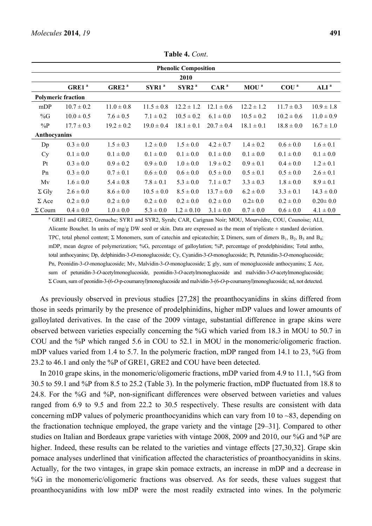|               |                           |                   |                   | <b>Phenolic Composition</b> |                  |                |                  |                  |
|---------------|---------------------------|-------------------|-------------------|-----------------------------|------------------|----------------|------------------|------------------|
|               |                           |                   |                   | 2010                        |                  |                |                  |                  |
|               | GRE1 <sup>a</sup>         | GRE2 <sup>a</sup> | SYR1 <sup>a</sup> | SYR2 <sup>a</sup>           | CAR <sup>a</sup> | $MOU^a$        | COU <sup>a</sup> | ALI <sup>a</sup> |
|               | <b>Polymeric fraction</b> |                   |                   |                             |                  |                |                  |                  |
| mDP           | $10.7 \pm 0.2$            | $11.0 \pm 0.8$    | $11.5 \pm 0.8$    | $12.2 \pm 1.2$              | $12.1 \pm 0.6$   | $12.2 \pm 1.2$ | $11.7 \pm 0.3$   | $10.9 \pm 1.8$   |
| %G            | $10.0 \pm 0.5$            | $7.6 \pm 0.5$     | $7.1 \pm 0.2$     | $10.5 \pm 0.2$              | $6.1 \pm 0.0$    | $10.5 \pm 0.2$ | $10.2 \pm 0.6$   | $11.0 \pm 0.9$   |
| $\%P$         | $17.7 \pm 0.3$            | $19.2 \pm 0.2$    | $19.0 \pm 0.4$    | $18.1 \pm 0.1$              | $20.7 \pm 0.4$   | $18.1 \pm 0.1$ | $18.8 \pm 0.0$   | $16.7 \pm 1.0$   |
| Anthocyanins  |                           |                   |                   |                             |                  |                |                  |                  |
| Dp            | $0.3 \pm 0.0$             | $1.5 \pm 0.3$     | $1.2 \pm 0.0$     | $1.5 \pm 0.0$               | $4.2 \pm 0.7$    | $1.4 \pm 0.2$  | $0.6 \pm 0.0$    | $1.6 \pm 0.1$    |
| <b>Cy</b>     | $0.1 \pm 0.0$             | $0.1 \pm 0.0$     | $0.1 \pm 0.0$     | $0.1 \pm 0.0$               | $0.1 \pm 0.0$    | $0.1 \pm 0.0$  | $0.1 \pm 0.0$    | $0.1 \pm 0.0$    |
| Pt            | $0.3 \pm 0.0$             | $0.9 \pm 0.2$     | $0.9 \pm 0.0$     | $1.0 \pm 0.0$               | $1.9 \pm 0.2$    | $0.9 \pm 0.1$  | $0.4 \pm 0.0$    | $1.2 \pm 0.1$    |
| Pn            | $0.3 \pm 0.0$             | $0.7 \pm 0.1$     | $0.6 \pm 0.0$     | $0.6 \pm 0.0$               | $0.5 \pm 0.0$    | $0.5 \pm 0.1$  | $0.5 \pm 0.0$    | $2.6 \pm 0.1$    |
| Mv            | $1.6 \pm 0.0$             | $5.4 \pm 0.8$     | $7.8 \pm 0.1$     | $5.3 \pm 0.0$               | $7.1 \pm 0.7$    | $3.3 \pm 0.3$  | $1.8 \pm 0.0$    | $8.9 \pm 0.1$    |
| $\Sigma$ Gly  | $2.6 \pm 0.0$             | $8.6 \pm 0.0$     | $10.5 \pm 0.0$    | $8.5 \pm 0.0$               | $13.7 \pm 0.0$   | $6.2 \pm 0.0$  | $3.3 \pm 0.1$    | $14.3 \pm 0.0$   |
| $\Sigma$ Ace  | $0.2 \pm 0.0$             | $0.2 \pm 0.0$     | $0.2 \pm 0.0$     | $0.2 \pm 0.0$               | $0.2 \pm 0.0$    | $0.2 \pm 0.0$  | $0.2 \pm 0.0$    | $0.20 \pm 0.0$   |
| $\Sigma$ Coum | $0.4 \pm 0.0$             | $1.0 \pm 0.0$     | $5.3 \pm 0.0$     | $1.2 \pm 0.10$              | $3.1 \pm 0.0$    | $0.7 \pm 0.0$  | $0.6 \pm 0.0$    | $4.1 \pm 0.0$    |

**Table 4.** *Cont*.

<sup>a</sup> GRE1 and GRE2, Grenache; SYR1 and SYR2, Syrah; CAR, Carignan Noir; MOU, Mourvèdre, COU, Counoise; ALI, Alicante Bouchet. In units of mg/g DW seed or skin. Data are expressed as the mean of triplicate  $\pm$  standard deviation. TPC, total phenol content; Σ Monomers, sum of catechin and epicatechin; Σ Dimers, sum of dimers B<sub>1</sub>, B<sub>2</sub>, B<sub>3</sub> and B<sub>4</sub>; mDP, mean degree of polymerization; %G, percentage of galloylation; %P, percentage of prodelphinidins; Total antho, total anthocyanins; Dp, delphinidin-3-*O*-monoglucoside; Cy, Cyanidin-3-*O*-monoglucoside; Pt, Petunidin-3-*O*-monoglucoside; Pn, Peonidin-3-*O*-monoglucoside; Mv, Malvidin-3-*O*-monoglucoside; Σ gly, sum of monoglucoside anthocyanins; Σ Ace, sum of petunidin-3-*O*-acetylmonoglucoside, peonidin-3-*O*-acetylmonoglucoside and malvidin-3-*O*-acetylmonoglucoside; Σ Coum, sum of peonidin-3-(6-*O*-p-coumaroyl)monoglucoside and malvidin-3-(6-*O*-p-coumaroyl)monoglucoside; nd, not detected.

As previously observed in previous studies [27,28] the proanthocyanidins in skins differed from those in seeds primarily by the presence of prodelphinidins, higher mDP values and lower amounts of galloylated derivatives. In the case of the 2009 vintage, substantial difference in grape skins were observed between varieties especially concerning the %G which varied from 18.3 in MOU to 50.7 in COU and the %P which ranged 5.6 in COU to 52.1 in MOU in the monomeric/oligomeric fraction. mDP values varied from 1.4 to 5.7. In the polymeric fraction, mDP ranged from 14.1 to 23, %G from 23.2 to 46.1 and only the %P of GRE1, GRE2 and COU have been detected.

In 2010 grape skins, in the monomeric/oligomeric fractions, mDP varied from 4.9 to 11.1, %G from 30.5 to 59.1 and %P from 8.5 to 25.2 (Table 3). In the polymeric fraction, mDP fluctuated from 18.8 to 24.8. For the %G and %P, non-significant differences were observed between varieties and values ranged from 6.9 to 9.5 and from 22.2 to 30.5 respectively. These results are consistent with data concerning mDP values of polymeric proanthocyanidins which can vary from 10 to  $\sim 83$ , depending on the fractionation technique employed, the grape variety and the vintage [29–31]. Compared to other studies on Italian and Bordeaux grape varieties with vintage 2008, 2009 and 2010, our %G and %P are higher. Indeed, these results can be related to the varieties and vintage effects [27,30,32]. Grape skin pomace analyses underlined that vinification affected the characteristics of proanthocyanidins in skins. Actually, for the two vintages, in grape skin pomace extracts, an increase in mDP and a decrease in %G in the monomeric/oligomeric fractions was observed. As for seeds, these values suggest that proanthocyanidins with low mDP were the most readily extracted into wines. In the polymeric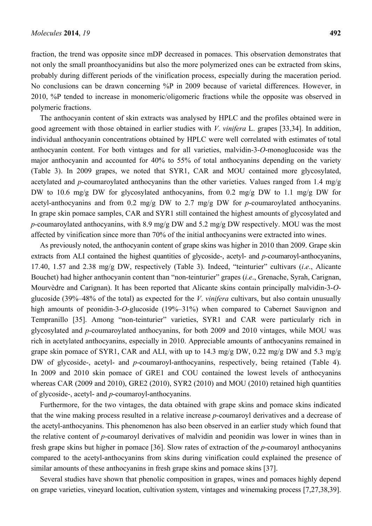fraction, the trend was opposite since mDP decreased in pomaces. This observation demonstrates that not only the small proanthocyanidins but also the more polymerized ones can be extracted from skins, probably during different periods of the vinification process, especially during the maceration period. No conclusions can be drawn concerning %P in 2009 because of varietal differences. However, in 2010, %P tended to increase in monomeric/oligomeric fractions while the opposite was observed in polymeric fractions.

The anthocyanin content of skin extracts was analysed by HPLC and the profiles obtained were in good agreement with those obtained in earlier studies with *V*. *vinifera* L. grapes [33,34]. In addition, individual anthocyanin concentrations obtained by HPLC were well correlated with estimates of total anthocyanin content. For both vintages and for all varieties, malvidin-3-*O*-monoglucoside was the major anthocyanin and accounted for 40% to 55% of total anthocyanins depending on the variety (Table 3). In 2009 grapes, we noted that SYR1, CAR and MOU contained more glycosylated, acetylated and *p*-coumaroylated anthocyanins than the other varieties. Values ranged from 1.4 mg/g DW to 10.6 mg/g DW for glycosylated anthocyanins, from 0.2 mg/g DW to 1.1 mg/g DW for acetyl-anthocyanins and from 0.2 mg/g DW to 2.7 mg/g DW for *p*-coumaroylated anthocyanins. In grape skin pomace samples, CAR and SYR1 still contained the highest amounts of glycosylated and *p*-coumaroylated anthocyanins, with 8.9 mg/g DW and 5.2 mg/g DW respectively. MOU was the most affected by vinification since more than 70% of the initial anthocyanins were extracted into wines.

As previously noted, the anthocyanin content of grape skins was higher in 2010 than 2009. Grape skin extracts from ALI contained the highest quantities of glycoside-, acetyl- and *p-*coumaroyl-anthocyanins, 17.40, 1.57 and 2.38 mg/g DW, respectively (Table 3). Indeed, "teinturier" cultivars (*i*.*e*., Alicante Bouchet) had higher anthocyanin content than "non-teinturier" grapes (*i*.*e*., Grenache, Syrah, Carignan, Mourvèdre and Carignan). It has been reported that Alicante skins contain principally malvidin-3-*O*glucoside (39%–48% of the total) as expected for the *V*. *vinifera* cultivars, but also contain unusually high amounts of peonidin-3-*O*-glucoside (19%-31%) when compared to Cabernet Sauvignon and Tempranillo [35]. Among "non-teinturier" varieties, SYR1 and CAR were particularly rich in glycosylated and *p*-coumaroylated anthocyanins, for both 2009 and 2010 vintages, while MOU was rich in acetylated anthocyanins, especially in 2010. Appreciable amounts of anthocyanins remained in grape skin pomace of SYR1, CAR and ALI, with up to 14.3 mg/g DW, 0.22 mg/g DW and 5.3 mg/g DW of glycoside-, acetyl- and *p*-coumaroyl-anthocyanins, respectively, being retained (Table 4). In 2009 and 2010 skin pomace of GRE1 and COU contained the lowest levels of anthocyanins whereas CAR (2009 and 2010), GRE2 (2010), SYR2 (2010) and MOU (2010) retained high quantities of glycoside-, acetyl- and *p*-coumaroyl-anthocyanins.

Furthermore, for the two vintages, the data obtained with grape skins and pomace skins indicated that the wine making process resulted in a relative increase *p*-coumaroyl derivatives and a decrease of the acetyl-anthocyanins. This phenomenon has also been observed in an earlier study which found that the relative content of *p*-coumaroyl derivatives of malvidin and peonidin was lower in wines than in fresh grape skins but higher in pomace [36]. Slow rates of extraction of the *p*-coumaroyl anthocyanins compared to the acetyl-anthocyanins from skins during vinification could explained the presence of similar amounts of these anthocyanins in fresh grape skins and pomace skins [37].

Several studies have shown that phenolic composition in grapes, wines and pomaces highly depend on grape varieties, vineyard location, cultivation system, vintages and winemaking process [7,27,38,39].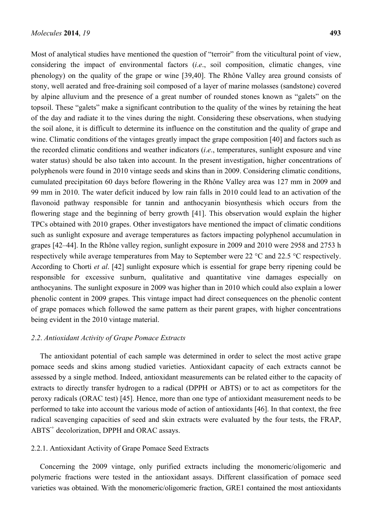Most of analytical studies have mentioned the question of "terroir" from the viticultural point of view, considering the impact of environmental factors (*i*.*e*., soil composition, climatic changes, vine phenology) on the quality of the grape or wine [39,40]. The Rhône Valley area ground consists of stony, well aerated and free-draining soil composed of a layer of marine molasses (sandstone) covered by alpine alluvium and the presence of a great number of rounded stones known as "galets" on the topsoil. These "galets" make a significant contribution to the quality of the wines by retaining the heat of the day and radiate it to the vines during the night. Considering these observations, when studying the soil alone, it is difficult to determine its influence on the constitution and the quality of grape and wine. Climatic conditions of the vintages greatly impact the grape composition [40] and factors such as the recorded climatic conditions and weather indicators (*i*.*e*., temperatures, sunlight exposure and vine water status) should be also taken into account. In the present investigation, higher concentrations of polyphenols were found in 2010 vintage seeds and skins than in 2009. Considering climatic conditions, cumulated precipitation 60 days before flowering in the Rhône Valley area was 127 mm in 2009 and 99 mm in 2010. The water deficit induced by low rain falls in 2010 could lead to an activation of the flavonoid pathway responsible for tannin and anthocyanin biosynthesis which occurs from the flowering stage and the beginning of berry growth [41]. This observation would explain the higher TPCs obtained with 2010 grapes. Other investigators have mentioned the impact of climatic conditions such as sunlight exposure and average temperatures as factors impacting polyphenol accumulation in grapes [42–44]. In the Rhône valley region, sunlight exposure in 2009 and 2010 were 2958 and 2753 h respectively while average temperatures from May to September were 22 °C and 22.5 °C respectively. According to Chorti *et al*. [42] sunlight exposure which is essential for grape berry ripening could be responsible for excessive sunburn, qualitative and quantitative vine damages especially on anthocyanins. The sunlight exposure in 2009 was higher than in 2010 which could also explain a lower phenolic content in 2009 grapes. This vintage impact had direct consequences on the phenolic content of grape pomaces which followed the same pattern as their parent grapes, with higher concentrations being evident in the 2010 vintage material.

## *2*.*2*. *Antioxidant Activity of Grape Pomace Extracts*

The antioxidant potential of each sample was determined in order to select the most active grape pomace seeds and skins among studied varieties. Antioxidant capacity of each extracts cannot be assessed by a single method. Indeed, antioxidant measurements can be related either to the capacity of extracts to directly transfer hydrogen to a radical (DPPH or ABTS) or to act as competitors for the peroxy radicals (ORAC test) [45]. Hence, more than one type of antioxidant measurement needs to be performed to take into account the various mode of action of antioxidants [46]. In that context, the free radical scavenging capacities of seed and skin extracts were evaluated by the four tests, the FRAP, ABTS<sup>+</sup> decolorization, DPPH and ORAC assays.

## 2.2.1. Antioxidant Activity of Grape Pomace Seed Extracts

Concerning the 2009 vintage, only purified extracts including the monomeric/oligomeric and polymeric fractions were tested in the antioxidant assays. Different classification of pomace seed varieties was obtained. With the monomeric/oligomeric fraction, GRE1 contained the most antioxidants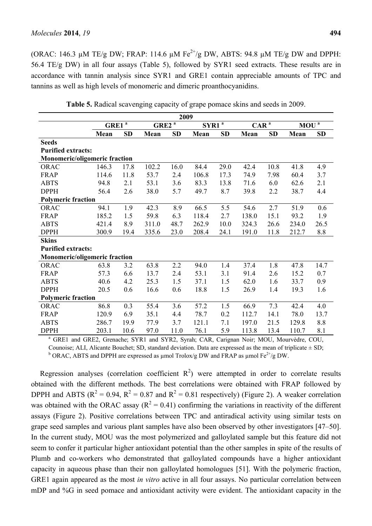(ORAC: 146.3  $\mu$ M TE/g DW; FRAP: 114.6  $\mu$ M Fe<sup>2+</sup>/g DW, ABTS: 94.8  $\mu$ M TE/g DW and DPPH: 56.4 TE/g DW) in all four assays (Table 5), followed by SYR1 seed extracts. These results are in accordance with tannin analysis since SYR1 and GRE1 contain appreciable amounts of TPC and tannins as well as high levels of monomeric and dimeric proanthocyanidins.

|                                                                                                      |          |      |          | 2009      |          |      |                                 |           |                  |           |
|------------------------------------------------------------------------------------------------------|----------|------|----------|-----------|----------|------|---------------------------------|-----------|------------------|-----------|
|                                                                                                      | GRE1 $a$ |      | $GRE2^a$ |           | $SYR1^a$ |      | $CAR$ <sup><math>a</math></sup> |           | MOU <sup>a</sup> |           |
|                                                                                                      | Mean     | SD   | Mean     | <b>SD</b> | Mean     | SD   | Mean                            | <b>SD</b> | Mean             | <b>SD</b> |
| <b>Seeds</b>                                                                                         |          |      |          |           |          |      |                                 |           |                  |           |
| <b>Purified extracts:</b>                                                                            |          |      |          |           |          |      |                                 |           |                  |           |
| Monomeric/oligomeric fraction                                                                        |          |      |          |           |          |      |                                 |           |                  |           |
| <b>ORAC</b>                                                                                          | 146.3    | 17.8 | 102.2    | 16.0      | 84.4     | 29.0 | 42.4                            | 10.8      | 41.8             | 4.9       |
| <b>FRAP</b>                                                                                          | 114.6    | 11.8 | 53.7     | 2.4       | 106.8    | 17.3 | 74.9                            | 7.98      | 60.4             | 3.7       |
| <b>ABTS</b>                                                                                          | 94.8     | 2.1  | 53.1     | 3.6       | 83.3     | 13.8 | 71.6                            | 6.0       | 62.6             | 2.1       |
| <b>DPPH</b>                                                                                          | 56.4     | 2.6  | 38.0     | 5.7       | 49.7     | 8.7  | 39.8                            | 2.2       | 38.7             | 4.4       |
| <b>Polymeric fraction</b>                                                                            |          |      |          |           |          |      |                                 |           |                  |           |
| ORAC                                                                                                 | 94.1     | 1.9  | 42.3     | 8.9       | 66.5     | 5.5  | 54.6                            | 2.7       | 51.9             | 0.6       |
| <b>FRAP</b>                                                                                          | 185.2    | 1.5  | 59.8     | 6.3       | 118.4    | 2.7  | 138.0                           | 15.1      | 93.2             | 1.9       |
| <b>ABTS</b>                                                                                          | 421.4    | 8.9  | 311.0    | 48.7      | 262.9    | 10.0 | 324.3                           | 26.6      | 234.0            | 26.5      |
| <b>DPPH</b>                                                                                          | 300.9    | 19.4 | 335.6    | 23.0      | 208.4    | 24.1 | 191.0                           | 11.8      | 212.7            | 8.8       |
| <b>Skins</b>                                                                                         |          |      |          |           |          |      |                                 |           |                  |           |
| <b>Purified extracts:</b>                                                                            |          |      |          |           |          |      |                                 |           |                  |           |
| <b>Monomeric/oligomeric fraction</b>                                                                 |          |      |          |           |          |      |                                 |           |                  |           |
| <b>ORAC</b>                                                                                          | 63.8     | 3.2  | 63.8     | 2.2       | 94.0     | 1.4  | 37.4                            | 1.8       | 47.8             | 14.7      |
| <b>FRAP</b>                                                                                          | 57.3     | 6.6  | 13.7     | 2.4       | 53.1     | 3.1  | 91.4                            | 2.6       | 15.2             | 0.7       |
| <b>ABTS</b>                                                                                          | 40.6     | 4.2  | 25.3     | 1.5       | 37.1     | 1.5  | 62.0                            | 1.6       | 33.7             | 0.9       |
| <b>DPPH</b>                                                                                          | 20.5     | 0.6  | 16.6     | 0.6       | 18.8     | 1.5  | 26.9                            | 1.4       | 19.3             | 1.6       |
| <b>Polymeric fraction</b>                                                                            |          |      |          |           |          |      |                                 |           |                  |           |
| ORAC                                                                                                 | 86.8     | 0.3  | 55.4     | 3.6       | 57.2     | 1.5  | 66.9                            | 7.3       | 42.4             | 4.0       |
| <b>FRAP</b>                                                                                          | 120.9    | 6.9  | 35.1     | 4.4       | 78.7     | 0.2  | 112.7                           | 14.1      | 78.0             | 13.7      |
| <b>ABTS</b>                                                                                          | 286.7    | 19.9 | 77.9     | 3.7       | 121.1    | 7.1  | 197.0                           | 21.5      | 129.8            | 8.8       |
| <b>DPPH</b>                                                                                          | 203.1    | 10.6 | 97.0     | 11.0      | 76.1     | 5.9  | 113.8                           | 13.4      | 110.7            | 8.1       |
| <sup>a</sup> GRE1 and GRE2, Grenache; SYR1 and SYR2, Syrah; CAR, Carignan Noir; MOU, Mourvèdre, COU, |          |      |          |           |          |      |                                 |           |                  |           |

**Table 5.** Radical scavenging capacity of grape pomace skins and seeds in 2009.

Counoise; ALI, Alicante Bouchet; SD, standard deviation. Data are expressed as the mean of triplicate  $\pm$  SD; <sup>b</sup> ORAC, ABTS and DPPH are expressed as µmol Trolox/g DW and FRAP as µmol Fe<sup>2+</sup>/g DW.

Regression analyses (correlation coefficient  $R^2$ ) were attempted in order to correlate results obtained with the different methods. The best correlations were obtained with FRAP followed by DPPH and ABTS ( $R^2 = 0.94$ ,  $R^2 = 0.87$  and  $R^2 = 0.81$  respectively) (Figure 2). A weaker correlation was obtained with the ORAC assay ( $R^2 = 0.41$ ) confirming the variations in reactivity of the different assays (Figure 2). Positive correlations between TPC and antiradical activity using similar tests on grape seed samples and various plant samples have also been observed by other investigators [47–50]. In the current study, MOU was the most polymerized and galloylated sample but this feature did not seem to confer it particular higher antioxidant potential than the other samples in spite of the results of Plumb and co-workers who demonstrated that galloylated compounds have a higher antioxidant capacity in aqueous phase than their non galloylated homologues [51]. With the polymeric fraction, GRE1 again appeared as the most *in vitro* active in all four assays. No particular correlation between mDP and %G in seed pomace and antioxidant activity were evident. The antioxidant capacity in the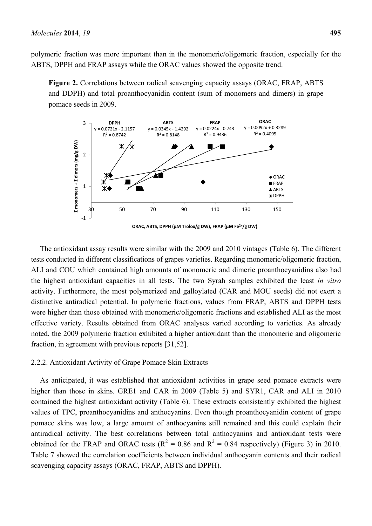polymeric fraction was more important than in the monomeric/oligomeric fraction, especially for the ABTS, DPPH and FRAP assays while the ORAC values showed the opposite trend.

**Figure 2.** Correlations between radical scavenging capacity assays (ORAC, FRAP, ABTS and DDPH) and total proanthocyanidin content (sum of monomers and dimers) in grape pomace seeds in 2009.



The antioxidant assay results were similar with the 2009 and 2010 vintages (Table 6). The different tests conducted in different classifications of grapes varieties. Regarding monomeric/oligomeric fraction, ALI and COU which contained high amounts of monomeric and dimeric proanthocyanidins also had the highest antioxidant capacities in all tests. The two Syrah samples exhibited the least *in vitro* activity. Furthermore, the most polymerized and galloylated (CAR and MOU seeds) did not exert a distinctive antiradical potential. In polymeric fractions, values from FRAP, ABTS and DPPH tests were higher than those obtained with monomeric/oligomeric fractions and established ALI as the most effective variety. Results obtained from ORAC analyses varied according to varieties. As already noted, the 2009 polymeric fraction exhibited a higher antioxidant than the monomeric and oligomeric fraction, in agreement with previous reports [31,52].

## 2.2.2. Antioxidant Activity of Grape Pomace Skin Extracts

As anticipated, it was established that antioxidant activities in grape seed pomace extracts were higher than those in skins. GRE1 and CAR in 2009 (Table 5) and SYR1, CAR and ALI in 2010 contained the highest antioxidant activity (Table 6). These extracts consistently exhibited the highest values of TPC, proanthocyanidins and anthocyanins. Even though proanthocyanidin content of grape pomace skins was low, a large amount of anthocyanins still remained and this could explain their antiradical activity. The best correlations between total anthocyanins and antioxidant tests were obtained for the FRAP and ORAC tests ( $R^2 = 0.86$  and  $R^2 = 0.84$  respectively) (Figure 3) in 2010. Table 7 showed the correlation coefficients between individual anthocyanin contents and their radical scavenging capacity assays (ORAC, FRAP, ABTS and DPPH).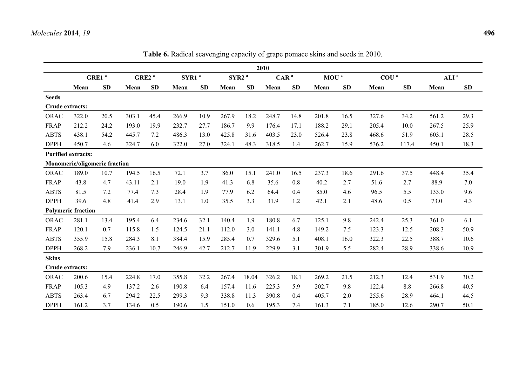|                 |                               |                   |                   |           |                   |      |                   |           | 2010             |      |                  |           |                  |       |                  |      |
|-----------------|-------------------------------|-------------------|-------------------|-----------|-------------------|------|-------------------|-----------|------------------|------|------------------|-----------|------------------|-------|------------------|------|
|                 |                               | GRE1 <sup>a</sup> | GRE2 <sup>a</sup> |           | SYR1 <sup>a</sup> |      | SYR2 <sup>a</sup> |           | CAR <sup>a</sup> |      | MOU <sup>a</sup> |           | COU <sup>a</sup> |       | ALI <sup>a</sup> |      |
|                 | Mean                          | SD                | Mean              | <b>SD</b> | Mean              | SD   | Mean              | <b>SD</b> | Mean             | SD   | Mean             | <b>SD</b> | Mean             | SD    | Mean             | SD   |
| <b>Seeds</b>    |                               |                   |                   |           |                   |      |                   |           |                  |      |                  |           |                  |       |                  |      |
| Crude extracts: |                               |                   |                   |           |                   |      |                   |           |                  |      |                  |           |                  |       |                  |      |
| <b>ORAC</b>     | 322.0                         | 20.5              | 303.1             | 45.4      | 266.9             | 10.9 | 267.9             | 18.2      | 248.7            | 14.8 | 201.8            | 16.5      | 327.6            | 34.2  | 561.2            | 29.3 |
| <b>FRAP</b>     | 212.2                         | 24.2              | 193.0             | 19.9      | 232.7             | 27.7 | 186.7             | 9.9       | 176.4            | 17.1 | 188.2            | 29.1      | 205.4            | 10.0  | 267.5            | 25.9 |
| <b>ABTS</b>     | 438.1                         | 54.2              | 445.7             | 7.2       | 486.3             | 13.0 | 425.8             | 31.6      | 403.5            | 23.0 | 526.4            | 23.8      | 468.6            | 51.9  | 603.1            | 28.5 |
| <b>DPPH</b>     | 450.7                         | 4.6               | 324.7             | 6.0       | 322.0             | 27.0 | 324.1             | 48.3      | 318.5            | 1.4  | 262.7            | 15.9      | 536.2            | 117.4 | 450.1            | 18.3 |
|                 | <b>Purified extracts:</b>     |                   |                   |           |                   |      |                   |           |                  |      |                  |           |                  |       |                  |      |
|                 | Monomeric/oligomeric fraction |                   |                   |           |                   |      |                   |           |                  |      |                  |           |                  |       |                  |      |
| <b>ORAC</b>     | 189.0                         | 10.7              | 194.5             | 16.5      | 72.1              | 3.7  | 86.0              | 15.1      | 241.0            | 16.5 | 237.3            | 18.6      | 291.6            | 37.5  | 448.4            | 35.4 |
| <b>FRAP</b>     | 43.8                          | 4.7               | 43.11             | 2.1       | 19.0              | 1.9  | 41.3              | 6.8       | 35.6             | 0.8  | 40.2             | 2.7       | 51.6             | 2.7   | 88.9             | 7.0  |
| <b>ABTS</b>     | 81.5                          | 7.2               | 77.4              | 7.3       | 28.4              | 1.9  | 77.9              | 6.2       | 64.4             | 0.4  | 85.0             | 4.6       | 96.5             | 5.5   | 133.0            | 9.6  |
| <b>DPPH</b>     | 39.6                          | 4.8               | 41.4              | 2.9       | 13.1              | 1.0  | 35.5              | 3.3       | 31.9             | 1.2  | 42.1             | 2.1       | 48.6             | 0.5   | 73.0             | 4.3  |
|                 | <b>Polymeric fraction</b>     |                   |                   |           |                   |      |                   |           |                  |      |                  |           |                  |       |                  |      |
| ORAC            | 281.1                         | 13.4              | 195.4             | 6.4       | 234.6             | 32.1 | 140.4             | 1.9       | 180.8            | 6.7  | 125.1            | 9.8       | 242.4            | 25.3  | 361.0            | 6.1  |
| <b>FRAP</b>     | 120.1                         | 0.7               | 115.8             | 1.5       | 124.5             | 21.1 | 112.0             | 3.0       | 141.1            | 4.8  | 149.2            | 7.5       | 123.3            | 12.5  | 208.3            | 50.9 |
| <b>ABTS</b>     | 355.9                         | 15.8              | 284.3             | 8.1       | 384.4             | 15.9 | 285.4             | 0.7       | 329.6            | 5.1  | 408.1            | 16.0      | 322.3            | 22.5  | 388.7            | 10.6 |
| <b>DPPH</b>     | 268.2                         | 7.9               | 236.1             | 10.7      | 246.9             | 42.7 | 212.7             | 11.9      | 229.9            | 3.1  | 301.9            | 5.5       | 282.4            | 28.9  | 338.6            | 10.9 |
| <b>Skins</b>    |                               |                   |                   |           |                   |      |                   |           |                  |      |                  |           |                  |       |                  |      |
| Crude extracts: |                               |                   |                   |           |                   |      |                   |           |                  |      |                  |           |                  |       |                  |      |
| <b>ORAC</b>     | 200.6                         | 15.4              | 224.8             | 17.0      | 355.8             | 32.2 | 267.4             | 18.04     | 326.2            | 18.1 | 269.2            | 21.5      | 212.3            | 12.4  | 531.9            | 30.2 |
| <b>FRAP</b>     | 105.3                         | 4.9               | 137.2             | 2.6       | 190.8             | 6.4  | 157.4             | 11.6      | 225.3            | 5.9  | 202.7            | 9.8       | 122.4            | 8.8   | 266.8            | 40.5 |
| <b>ABTS</b>     | 263.4                         | 6.7               | 294.2             | 22.5      | 299.3             | 9.3  | 338.8             | 11.3      | 390.8            | 0.4  | 405.7            | 2.0       | 255.6            | 28.9  | 464.1            | 44.5 |
| <b>DPPH</b>     | 161.2                         | 3.7               | 134.6             | 0.5       | 190.6             | 1.5  | 151.0             | 0.6       | 195.3            | 7.4  | 161.3            | 7.1       | 185.0            | 12.6  | 290.7            | 50.1 |

**Table 6.** Radical scavenging capacity of grape pomace skins and seeds in 2010.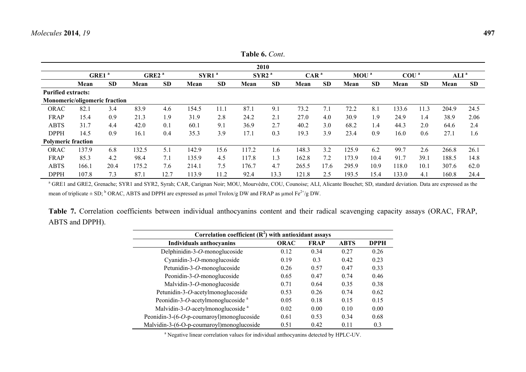|                               |       |                   |                   |           |                   |           |                   | <b>Table 6.</b> <i>Cont.</i> |                  |           |                  |           |                  |           |                  |           |
|-------------------------------|-------|-------------------|-------------------|-----------|-------------------|-----------|-------------------|------------------------------|------------------|-----------|------------------|-----------|------------------|-----------|------------------|-----------|
|                               |       |                   |                   |           |                   |           |                   | 2010                         |                  |           |                  |           |                  |           |                  |           |
|                               |       | GRE1 <sup>a</sup> | GRE2 <sup>a</sup> |           | SYR1 <sup>a</sup> |           | SYR2 <sup>a</sup> |                              | CAR <sup>a</sup> |           | MOU <sup>a</sup> |           | COU <sup>a</sup> |           | ALI <sup>a</sup> |           |
|                               | Mean  | <b>SD</b>         | Mean              | <b>SD</b> | Mean              | <b>SD</b> | Mean              | <b>SD</b>                    | Mean             | <b>SD</b> | Mean             | <b>SD</b> | Mean             | <b>SD</b> | Mean             | <b>SD</b> |
| <b>Purified extracts:</b>     |       |                   |                   |           |                   |           |                   |                              |                  |           |                  |           |                  |           |                  |           |
| Monomeric/oligomeric fraction |       |                   |                   |           |                   |           |                   |                              |                  |           |                  |           |                  |           |                  |           |
| <b>ORAC</b>                   | 82.1  | 3.4               | 83.9              | 4.6       | 154.5             | 11.1      | 87.1              | 9.1                          | 73.2             | 7.1       | 72.2             | 8.1       | 133.6            | 11.3      | 204.9            | 24.5      |
| <b>FRAP</b>                   | 15.4  | 0.9               | 21.3              | 1.9       | 31.9              | 2.8       | 24.2              | 2.1                          | 27.0             | 4.0       | 30.9             | 1.9       | 24.9             | 1.4       | 38.9             | 2.06      |
| <b>ABTS</b>                   | 31.7  | 4.4               | 42.0              | 0.1       | 60.1              | 9.1       | 36.9              | 2.7                          | 40.2             | 3.0       | 68.2             | 1.4       | 44.3             | 2.0       | 64.6             | 2.4       |
| <b>DPPH</b>                   | 14.5  | 0.9               | 16.1              | 0.4       | 35.3              | 3.9       | 17.1              | 0.3                          | 19.3             | 3.9       | 23.4             | 0.9       | 16.0             | 0.6       | 27.1             | 1.6       |
| <b>Polymeric fraction</b>     |       |                   |                   |           |                   |           |                   |                              |                  |           |                  |           |                  |           |                  |           |
| ORAC                          | 137.9 | 6.8               | 132.5             | 5.1       | 142.9             | 15.6      | 117.2             | 1.6                          | 148.3            | 3.2       | 125.9            | 6.2       | 99.7             | 2.6       | 266.8            | 26.1      |
| <b>FRAP</b>                   | 85.3  | 4.2               | 98.4              | 7.1       | 135.9             | 4.5       | 117.8             | 1.3                          | 162.8            | 7.2       | 173.9            | 10.4      | 91.7             | 39.1      | 188.5            | 14.8      |
| <b>ABTS</b>                   | 166.1 | 20.4              | 175.2             | 7.6       | 214.1             | 7.5       | 176.7             | 4.7                          | 265.5            | 17.6      | 295.9            | 10.9      | 118.0            | 10.1      | 307.6            | 62.0      |
| <b>DPPH</b>                   | 107.8 | 7.3               | 87.1              | 12.7      | 113.9             | 11.2      | 92.4              | 13.3                         | 121.8            | 2.5       | 193.5            | 15.4      | 133.0            | 4.1       | 160.8            | 24.4      |

<sup>a</sup> GRE1 and GRE2, Grenache; SYR1 and SYR2, Syrah; CAR, Carignan Noir; MOU, Mourvèdre, COU, Counoise; ALI, Alicante Bouchet; SD, standard deviation. Data are expressed as the mean of triplicate  $\pm$  SD; <sup>b</sup> ORAC, ABTS and DPPH are expressed as µmol Trolox/g DW and FRAP as µmol Fe<sup>2+</sup>/g DW.

**Table 7.** Correlation coefficients between individual anthocyanins content and their radical scavenging capacity assays (ORAC, FRAP, ABTS and DPPH).

| Correlation coefficient $(R2)$ with antioxidant assays |             |             |             |             |  |  |  |  |  |
|--------------------------------------------------------|-------------|-------------|-------------|-------------|--|--|--|--|--|
| <b>Individuals anthocyanins</b>                        | <b>ORAC</b> | <b>FRAP</b> | <b>ABTS</b> | <b>DPPH</b> |  |  |  |  |  |
| Delphinidin-3-O-monoglucoside                          | 0.12        | 0.34        | 0.27        | 0.26        |  |  |  |  |  |
| Cyanidin-3-O-monoglucoside                             | 0.19        | 0.3         | 0.42        | 0.23        |  |  |  |  |  |
| Petunidin-3-O-monoglucoside                            | 0.26        | 0.57        | 0.47        | 0.33        |  |  |  |  |  |
| Peonidin-3-O-monoglucoside                             | 0.65        | 0.47        | 0.74        | 0.46        |  |  |  |  |  |
| Malvidin-3-O-monoglucoside                             | 0.71        | 0.64        | 0.35        | 0.38        |  |  |  |  |  |
| Petunidin-3-O-acetylmonoglucoside                      | 0.53        | 0.26        | 0.74        | 0.62        |  |  |  |  |  |
| Peonidin-3-O-acetylmonoglucoside <sup>a</sup>          | 0.05        | 0.18        | 0.15        | 0.15        |  |  |  |  |  |
| Malvidin-3- $O$ -acetylmonoglucoside <sup>a</sup>      | 0.02        | 0.00        | 0.10        | 0.00        |  |  |  |  |  |
| Peonidin-3- $(6-O-p$ -coumaroyl)monoglucoside          | 0.61        | 0.53        | 0.34        | 0.68        |  |  |  |  |  |
| Malvidin-3-(6-O-p-coumaroyl)monoglucoside              | 0.51        | 0.42        | 0.11        | 0.3         |  |  |  |  |  |

a Negative linear correlation values for individual anthocyanins detected by HPLC-UV.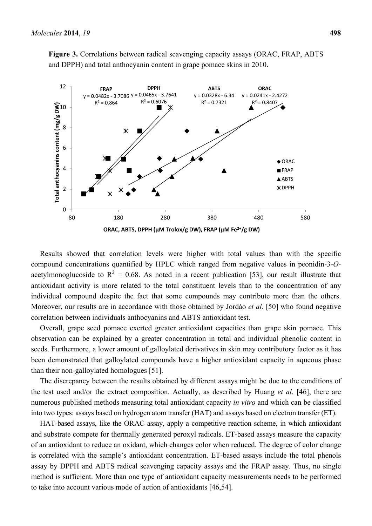**Figure 3.** Correlations between radical scavenging capacity assays (ORAC, FRAP, ABTS and DPPH) and total anthocyanin content in grape pomace skins in 2010.



Results showed that correlation levels were higher with total values than with the specific compound concentrations quantified by HPLC which ranged from negative values in peonidin-3-*O*acetylmonoglucoside to  $R^2 = 0.68$ . As noted in a recent publication [53], our result illustrate that antioxidant activity is more related to the total constituent levels than to the concentration of any individual compound despite the fact that some compounds may contribute more than the others. Moreover, our results are in accordance with those obtained by Jordáo *et al*. [50] who found negative correlation between individuals anthocyanins and ABTS antioxidant test.

Overall, grape seed pomace exerted greater antioxidant capacities than grape skin pomace. This observation can be explained by a greater concentration in total and individual phenolic content in seeds. Furthermore, a lower amount of galloylated derivatives in skin may contributory factor as it has been demonstrated that galloylated compounds have a higher antioxidant capacity in aqueous phase than their non-galloylated homologues [51].

The discrepancy between the results obtained by different assays might be due to the conditions of the test used and/or the extract composition. Actually, as described by Huang *et al*. [46], there are numerous published methods measuring total antioxidant capacity *in vitro* and which can be classified into two types: assays based on hydrogen atom transfer (HAT) and assays based on electron transfer (ET).

HAT-based assays, like the ORAC assay, apply a competitive reaction scheme, in which antioxidant and substrate compete for thermally generated peroxyl radicals. ET-based assays measure the capacity of an antioxidant to reduce an oxidant, which changes color when reduced. The degree of color change is correlated with the sample's antioxidant concentration. ET-based assays include the total phenols assay by DPPH and ABTS radical scavenging capacity assays and the FRAP assay. Thus, no single method is sufficient. More than one type of antioxidant capacity measurements needs to be performed to take into account various mode of action of antioxidants [46,54].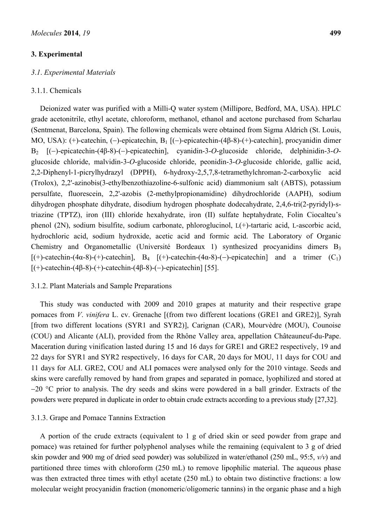#### **3. Experimental**

#### *3*.*1*. *Experimental Materials*

#### 3.1.1. Chemicals

Deionized water was purified with a Milli-Q water system (Millipore, Bedford, MA, USA). HPLC grade acetonitrile, ethyl acetate, chloroform, methanol, ethanol and acetone purchased from Scharlau (Sentmenat, Barcelona, Spain). The following chemicals were obtained from Sigma Aldrich (St. Louis, MO, USA): (+)-catechin, (-)-epicatechin, B<sub>1</sub> [(-)-epicatechin-(4β-8)-(+)-catechin], procyanidin dimer B2 [()-epicatechin-(4β-8)-()-epicatechin], cyanidin-3-*O*-glucoside chloride, delphinidin-3-*O*glucoside chloride, malvidin-3-*O*-glucoside chloride, peonidin-3-*O*-glucoside chloride, gallic acid, 2,2-Diphenyl-1-picrylhydrazyl (DPPH), 6-hydroxy-2,5,7,8-tetramethylchroman-2-carboxylic acid (Trolox), 2,2'-azinobis(3-ethylbenzothiazoline-6-sulfonic acid) diammonium salt (ABTS), potassium persulfate, fluorescein, 2,2'-azobis (2-methylpropionamidine) dihydrochloride (AAPH), sodium dihydrogen phosphate dihydrate, disodium hydrogen phosphate dodecahydrate, 2,4,6-tri(2-pyridyl)-striazine (TPTZ), iron (III) chloride hexahydrate, iron (II) sulfate heptahydrate, Folin Ciocalteu's phenol (2N), sodium bisulfite, sodium carbonate, phloroglucinol, L(+)-tartaric acid, L-ascorbic acid, hydrochloric acid, sodium hydroxide, acetic acid and formic acid. The Laboratory of Organic Chemistry and Organometallic (Université Bordeaux 1) synthesized procyanidins dimers B3  $[(+)$ -catechin-(4α-8)-(+)-catechin], B<sub>4</sub>  $[(+)$ -catechin-(4α-8)-(-)-epicatechin] and a trimer (C<sub>1</sub>)  $[(+)$ -catechin-(4β-8)-(+)-catechin-(4β-8)-(-)-epicatechin] [55].

#### 3.1.2. Plant Materials and Sample Preparations

This study was conducted with 2009 and 2010 grapes at maturity and their respective grape pomaces from *V*. *vinifera* L. cv. Grenache [(from two different locations (GRE1 and GRE2)], Syrah [from two different locations (SYR1 and SYR2)], Carignan (CAR), Mourvèdre (MOU), Counoise (COU) and Alicante (ALI), provided from the Rhône Valley area, appellation Châteauneuf-du-Pape. Maceration during vinification lasted during 15 and 16 days for GRE1 and GRE2 respectively, 19 and 22 days for SYR1 and SYR2 respectively, 16 days for CAR, 20 days for MOU, 11 days for COU and 11 days for ALI. GRE2, COU and ALI pomaces were analysed only for the 2010 vintage. Seeds and skins were carefully removed by hand from grapes and separated in pomace, lyophilized and stored at  $-20$  °C prior to analysis. The dry seeds and skins were powdered in a ball grinder. Extracts of the powders were prepared in duplicate in order to obtain crude extracts according to a previous study [27,32].

#### 3.1.3. Grape and Pomace Tannins Extraction

A portion of the crude extracts (equivalent to 1 g of dried skin or seed powder from grape and pomace) was retained for further polyphenol analyses while the remaining (equivalent to 3 g of dried skin powder and 900 mg of dried seed powder) was solubilized in water/ethanol (250 mL, 95:5, *v/v*) and partitioned three times with chloroform (250 mL) to remove lipophilic material. The aqueous phase was then extracted three times with ethyl acetate (250 mL) to obtain two distinctive fractions: a low molecular weight procyanidin fraction (monomeric/oligomeric tannins) in the organic phase and a high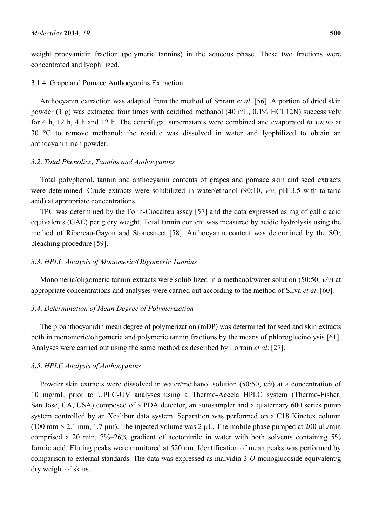weight procyanidin fraction (polymeric tannins) in the aqueous phase. These two fractions were concentrated and lyophilized.

## 3.1.4. Grape and Pomace Anthocyanins Extraction

Anthocyanin extraction was adapted from the method of Sriram *et al*. [56]. A portion of dried skin powder (1 g) was extracted four times with acidified methanol (40 mL, 0.1% HCl 12N) successively for 4 h, 12 h, 4 h and 12 h. The centrifugal supernatants were combined and evaporated *in vacuo* at 30 °C to remove methanol; the residue was dissolved in water and lyophilized to obtain an anthocyanin-rich powder.

## *3*.*2*. *Total Phenolics*, *Tannins and Anthocyanins*

Total polyphenol, tannin and anthocyanin contents of grapes and pomace skin and seed extracts were determined. Crude extracts were solubilized in water/ethanol (90:10, *v/v*; pH 3.5 with tartaric acid) at appropriate concentrations.

TPC was determined by the Folin-Ciocalteu assay [57] and the data expressed as mg of gallic acid equivalents (GAE) per g dry weight. Total tannin content was measured by acidic hydrolysis using the method of Ribereau-Gayon and Stonestreet [58]. Anthocyanin content was determined by the  $SO_2$ bleaching procedure [59].

## *3*.*3*. *HPLC Analysis of Monomeric/Oligomeric Tannins*

Monomeric/oligomeric tannin extracts were solubilized in a methanol/water solution (50:50, *v/v*) at appropriate concentrations and analyses were carried out according to the method of Silva *et al*. [60].

## *3*.*4*. *Determination of Mean Degree of Polymerization*

The proanthocyanidin mean degree of polymerization (mDP) was determined for seed and skin extracts both in monomeric/oligomeric and polymeric tannin fractions by the means of phloroglucinolysis [61]. Analyses were carried out using the same method as described by Lorrain *et al*. [27].

## *3*.*5*. *HPLC Analysis of Anthocyanins*

Powder skin extracts were dissolved in water/methanol solution (50:50, *v/v*) at a concentration of 10 mg/mL prior to UPLC-UV analyses using a Thermo-Accela HPLC system (Thermo-Fisher, San Jose, CA, USA) composed of a PDA detector, an autosampler and a quaternary 600 series pump system controlled by an Xcalibur data system. Separation was performed on a C18 Kinetex column (100 mm  $\times$  2.1 mm, 1.7 µm). The injected volume was 2 µL. The mobile phase pumped at 200 µL/min comprised a 20 min, 7%–26% gradient of acetonitrile in water with both solvents containing 5% formic acid. Eluting peaks were monitored at 520 nm. Identification of mean peaks was performed by comparison to external standards. The data was expressed as malvidin-3-*O*-monoglucoside equivalent/g dry weight of skins.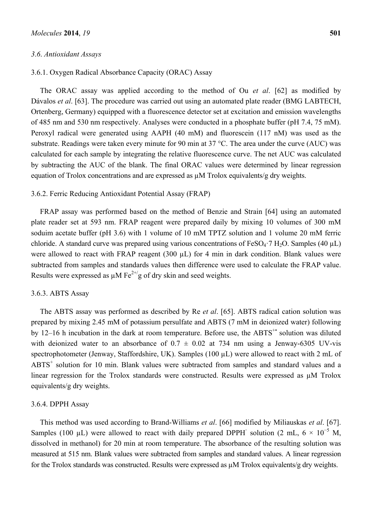#### *3*.*6*. *Antioxidant Assays*

## 3.6.1. Oxygen Radical Absorbance Capacity (ORAC) Assay

The ORAC assay was applied according to the method of Ou *et al*. [62] as modified by Dávalos *et al.* [63]. The procedure was carried out using an automated plate reader (BMG LABTECH, Ortenberg, Germany) equipped with a fluorescence detector set at excitation and emission wavelengths of 485 nm and 530 nm respectively. Analyses were conducted in a phosphate buffer (pH 7.4, 75 mM). Peroxyl radical were generated using AAPH (40 mM) and fluorescein (117 nM) was used as the substrate. Readings were taken every minute for 90 min at 37 °C. The area under the curve (AUC) was calculated for each sample by integrating the relative fluorescence curve. The net AUC was calculated by subtracting the AUC of the blank. The final ORAC values were determined by linear regression equation of Trolox concentrations and are expressed as  $\mu$ M Trolox equivalents/g dry weights.

#### 3.6.2. Ferric Reducing Antioxidant Potential Assay (FRAP)

FRAP assay was performed based on the method of Benzie and Strain [64] using an automated plate reader set at 593 nm. FRAP reagent were prepared daily by mixing 10 volumes of 300 mM soduim acetate buffer (pH 3.6) with 1 volume of 10 mM TPTZ solution and 1 volume 20 mM ferric chloride. A standard curve was prepared using various concentrations of FeSO<sub>4</sub>·7 H<sub>2</sub>O. Samples (40  $\mu$ L) were allowed to react with FRAP reagent (300 µL) for 4 min in dark condition. Blank values were subtracted from samples and standards values then difference were used to calculate the FRAP value. Results were expressed as  $\mu$ M Fe<sup>2+/</sup>g of dry skin and seed weights.

## 3.6.3. ABTS Assay

The ABTS assay was performed as described by Re *et al*. [65]. ABTS radical cation solution was prepared by mixing 2.45 mM of potassium persulfate and ABTS (7 mM in deionized water) following by 12–16 h incubation in the dark at room temperature. Before use, the ABTS<sup> $+$ </sup> solution was diluted with deionized water to an absorbance of  $0.7 \pm 0.02$  at 734 nm using a Jenway-6305 UV-vis spectrophotometer (Jenway, Staffordshire, UK). Samples (100 µL) were allowed to react with 2 mL of ABTS<sup>+</sup> solution for 10 min. Blank values were subtracted from samples and standard values and a linear regression for the Trolox standards were constructed. Results were expressed as µM Trolox equivalents/g dry weights.

#### 3.6.4. DPPH Assay

This method was used according to Brand-Williams *et al*. [66] modified by Miliauskas *et al*. [67]. Samples (100 µL) were allowed to react with daily prepared DPPH<sup> $\cdot$ </sup> solution (2 mL, 6  $\times$  10<sup>-5</sup> M, dissolved in methanol) for 20 min at room temperature. The absorbance of the resulting solution was measured at 515 nm. Blank values were subtracted from samples and standard values. A linear regression for the Trolox standards was constructed. Results were expressed as µM Trolox equivalents/g dry weights.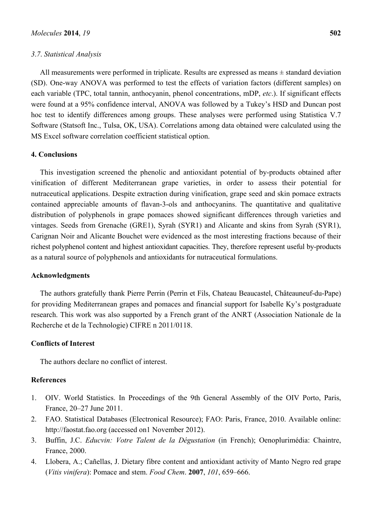#### *3*.*7*. *Statistical Analysis*

All measurements were performed in triplicate. Results are expressed as means ± standard deviation (SD). One-way ANOVA was performed to test the effects of variation factors (different samples) on each variable (TPC, total tannin, anthocyanin, phenol concentrations, mDP, *etc*.). If significant effects were found at a 95% confidence interval, ANOVA was followed by a Tukey's HSD and Duncan post hoc test to identify differences among groups. These analyses were performed using Statistica V.7 Software (Statsoft Inc., Tulsa, OK, USA). Correlations among data obtained were calculated using the MS Excel software correlation coefficient statistical option.

#### **4. Conclusions**

This investigation screened the phenolic and antioxidant potential of by-products obtained after vinification of different Mediterranean grape varieties, in order to assess their potential for nutraceutical applications. Despite extraction during vinification, grape seed and skin pomace extracts contained appreciable amounts of flavan-3-ols and anthocyanins. The quantitative and qualitative distribution of polyphenols in grape pomaces showed significant differences through varieties and vintages. Seeds from Grenache (GRE1), Syrah (SYR1) and Alicante and skins from Syrah (SYR1), Carignan Noir and Alicante Bouchet were evidenced as the most interesting fractions because of their richest polyphenol content and highest antioxidant capacities. They, therefore represent useful by-products as a natural source of polyphenols and antioxidants for nutraceutical formulations.

#### **Acknowledgments**

The authors gratefully thank Pierre Perrin (Perrin et Fils, Chateau Beaucastel, Châteauneuf-du-Pape) for providing Mediterranean grapes and pomaces and financial support for Isabelle Ky's postgraduate research. This work was also supported by a French grant of the ANRT (Association Nationale de la Recherche et de la Technologie) CIFRE n 2011/0118.

#### **Conflicts of Interest**

The authors declare no conflict of interest.

## **References**

- 1. OIV. World Statistics. In Proceedings of the 9th General Assembly of the OIV Porto, Paris, France, 20–27 June 2011.
- 2. FAO. Statistical Databases (Electronical Resource); FAO: Paris, France, 2010. Available online: http://faostat.fao.org (accessed on1 November 2012).
- 3. Buffin, J.C. *Educvin: Votre Talent de la Dégustation* (in French); Oenoplurimédia: Chaintre, France, 2000.
- 4. Llobera, A.; Cañellas, J. Dietary fibre content and antioxidant activity of Manto Negro red grape (*Vitis vinifera*): Pomace and stem. *Food Chem*. **2007**, *101*, 659–666.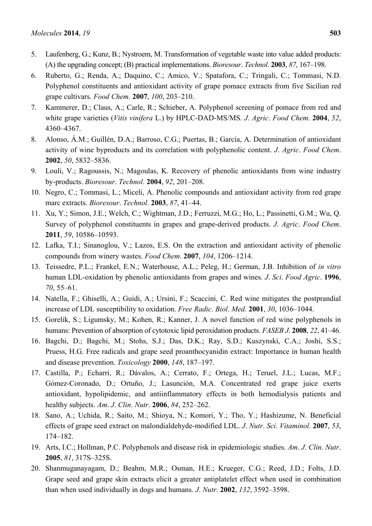- 5. Laufenberg, G.; Kunz, B.; Nystroem, M. Transformation of vegetable waste into value added products: (A) the upgrading concept; (B) practical implementations. *Bioresour*. *Technol*. **2003**, *87*, 167–198.
- 6. Ruberto, G.; Renda, A.; Daquino, C.; Amico, V.; Spatafora, C.; Tringali, C.; Tommasi, N.D. Polyphenol constituents and antioxidant activity of grape pomace extracts from five Sicilian red grape cultivars. *Food Chem*. **2007**, *100*, 203–210.
- 7. Kammerer, D.; Claus, A.; Carle, R.; Schieber, A. Polyphenol screening of pomace from red and white grape varieties (*Vitis vinifera* L.) by HPLC-DAD-MS/MS. *J*. *Agric*. *Food Chem*. **2004**, *52*, 4360–4367.
- 8. Alonso, Á.M.; Guillén, D.A.; Barroso, C.G.; Puertas, B.; García, A. Determination of antioxidant activity of wine byproducts and its correlation with polyphenolic content. *J*. *Agric*. *Food Chem*. **2002**, *50*, 5832–5836.
- 9. Louli, V.; Ragoussis, N.; Magoulas, K. Recovery of phenolic antioxidants from wine industry by-products. *Bioresour*. *Technol*. **2004**, *92*, 201–208.
- 10. Negro, C.; Tommasi, L.; Miceli, A. Phenolic compounds and antioxidant activity from red grape marc extracts. *Bioresour*. *Technol*. **2003**, *87*, 41–44.
- 11. Xu, Y.; Simon, J.E.; Welch, C.; Wightman, J.D.; Ferruzzi, M.G.; Ho, L.; Passinetti, G.M.; Wu, Q. Survey of polyphenol constituents in grapes and grape-derived products. *J*. *Agric*. *Food Chem*. **2011**, *59*, 10586–10593.
- 12. Lafka, T.I.; Sinanoglou, V.; Lazos, E.S. On the extraction and antioxidant activity of phenolic compounds from winery wastes. *Food Chem*. **2007**, *104*, 1206–1214.
- 13. Teissedre, P.L.; Frankel, E.N.; Waterhouse, A.L.; Peleg, H.; German, J.B. Inhibition of *in vitro* human LDL-oxidation by phenolic antioxidants from grapes and wines. *J*. *Sci*. *Food Agric*. **1996**, *70*, 55–61.
- 14. Natella, F.; Ghiselli, A.; Guidi, A.; Ursini, F.; Scaccini, C. Red wine mitigates the postprandial increase of LDL susceptibility to oxidation. *Free Radic*. *Biol*. *Med*. **2001**, *30*, 1036–1044.
- 15. Gorelik, S.; Ligumsky, M.; Kohen, R.; Kanner, J. A novel function of red wine polyphenols in humans: Prevention of absorption of cytotoxic lipid peroxidation products. *FASEB J*. **2008**, *22*, 41–46.
- 16. Bagchi, D.; Bagchi, M.; Stohs, S.J.; Das, D.K.; Ray, S.D.; Kuszynski, C.A.; Joshi, S.S.; Pruess, H.G. Free radicals and grape seed proanthocyanidin extract: Importance in human health and disease prevention. *Toxicology* **2000**, *148*, 187–197.
- 17. Castilla, P.; Echarri, R.; Dávalos, A.; Cerrato, F.; Ortega, H.; Teruel, J.L.; Lucas, M.F.; Gómez-Coronado, D.; Ortuño, J.; Lasunción, M.A. Concentrated red grape juice exerts antioxidant, hypolipidemic, and antiinflammatory effects in both hemodialysis patients and healthy subjects. *Am*. *J*. *Clin*. *Nutr*. **2006**, *84*, 252–262.
- 18. Sano, A.; Uchida, R.; Saito, M.; Shioya, N.; Komori, Y.; Tho, Y.; Hashizume, N. Beneficial effects of grape seed extract on malondialdehyde-modified LDL. *J*. *Nutr*. *Sci*. *Vitaminol*. **2007**, *53*, 174–182.
- 19. Arts, I.C.; Hollman, P.C. Polyphenols and disease risk in epidemiologic studies. *Am*. *J*. *Clin*. *Nutr*. **2005**, *81*, 317S–325S.
- 20. Shanmuganayagam, D.; Beahm, M.R.; Osman, H.E.; Krueger, C.G.; Reed, J.D.; Folts, J.D. Grape seed and grape skin extracts elicit a greater antiplatelet effect when used in combination than when used individually in dogs and humans. *J*. *Nutr*. **2002**, *132*, 3592–3598.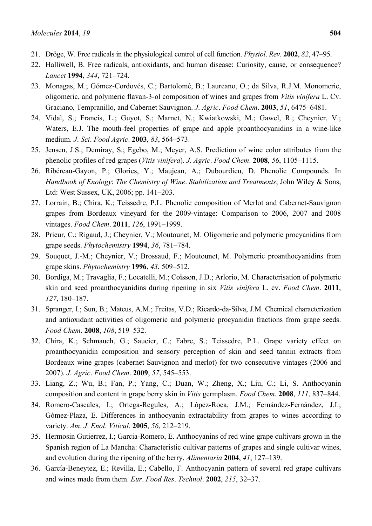- 21. Dröge, W. Free radicals in the physiological control of cell function. *Physiol*. *Rev*. **2002**, *82*, 47–95.
- 22. Halliwell, B. Free radicals, antioxidants, and human disease: Curiosity, cause, or consequence? *Lancet* **1994**, *344*, 721–724.
- 23. Monagas, M.; Gómez-Cordovés, C.; Bartolomé, B.; Laureano, O.; da Silva, R.J.M. Monomeric, oligomeric, and polymeric flavan-3-ol composition of wines and grapes from *Vitis vinifera* L. Cv. Graciano, Tempranillo, and Cabernet Sauvignon. *J*. *Agric*. *Food Chem*. **2003**, *51*, 6475–6481.
- 24. Vidal, S.; Francis, L.; Guyot, S.; Marnet, N.; Kwiatkowski, M.; Gawel, R.; Cheynier, V.; Waters, E.J. The mouth-feel properties of grape and apple proanthocyanidins in a wine-like medium. *J*. *Sci*. *Food Agric*. **2003**, *83*, 564–573.
- 25. Jensen, J.S.; Demiray, S.; Egebo, M.; Meyer, A.S. Prediction of wine color attributes from the phenolic profiles of red grapes (*Vitis vinifera*). *J*. *Agric*. *Food Chem*. **2008**, *56*, 1105–1115.
- 26. Ribéreau-Gayon, P.; Glories, Y.; Maujean, A.; Dubourdieu, D. Phenolic Compounds. In *Handbook of Enology*: *The Chemistry of Wine*. *Stabilization and Treatments*; John Wiley & Sons, Ltd: West Sussex, UK, 2006; pp. 141–203.
- 27. Lorrain, B.; Chira, K.; Teissedre, P.L. Phenolic composition of Merlot and Cabernet-Sauvignon grapes from Bordeaux vineyard for the 2009-vintage: Comparison to 2006, 2007 and 2008 vintages. *Food Chem*. **2011**, *126*, 1991–1999.
- 28. Prieur, C.; Rigaud, J.; Cheynier, V.; Moutounet, M. Oligomeric and polymeric procyanidins from grape seeds. *Phytochemistry* **1994**, *36*, 781–784.
- 29. Souquet, J.-M.; Cheynier, V.; Brossaud, F.; Moutounet, M. Polymeric proanthocyanidins from grape skins. *Phytochemistry* **1996**, *43*, 509–512.
- 30. Bordiga, M.; Travaglia, F.; Locatelli, M.; Coïsson, J.D.; Arlorio, M. Characterisation of polymeric skin and seed proanthocyanidins during ripening in six *Vitis vinifera* L. cv. *Food Chem*. **2011**, *127*, 180–187.
- 31. Spranger, I.; Sun, B.; Mateus, A.M.; Freitas, V.D.; Ricardo-da-Silva, J.M. Chemical characterization and antioxidant activities of oligomeric and polymeric procyanidin fractions from grape seeds. *Food Chem*. **2008**, *108*, 519–532.
- 32. Chira, K.; Schmauch, G.; Saucier, C.; Fabre, S.; Teissedre, P.L. Grape variety effect on proanthocyanidin composition and sensory perception of skin and seed tannin extracts from Bordeaux wine grapes (cabernet Sauvignon and merlot) for two consecutive vintages (2006 and 2007). *J*. *Agric*. *Food Chem*. **2009**, *57*, 545–553.
- 33. Liang, Z.; Wu, B.; Fan, P.; Yang, C.; Duan, W.; Zheng, X.; Liu, C.; Li, S. Anthocyanin composition and content in grape berry skin in *Vitis* germplasm. *Food Chem*. **2008**, *111*, 837–844.
- 34. Romero-Cascales, I.; Ortega-Regules, A.; López-Roca, J.M.; Fernández-Fernández, J.I.; Gómez-Plaza, E. Differences in anthocyanin extractability from grapes to wines according to variety. *Am*. *J*. *Enol*. *Viticul*. **2005**, *56*, 212–219.
- 35. Hermosin Gutierrez, I.; Garcia-Romero, E. Anthocyanins of red wine grape cultivars grown in the Spanish region of La Mancha: Characteristic cultivar patterns of grapes and single cultivar wines, and evolution during the ripening of the berry. *Alimentaria* **2004**, *41*, 127–139.
- 36. García-Beneytez, E.; Revilla, E.; Cabello, F. Anthocyanin pattern of several red grape cultivars and wines made from them. *Eur*. *Food Res*. *Technol*. **2002**, *215*, 32–37.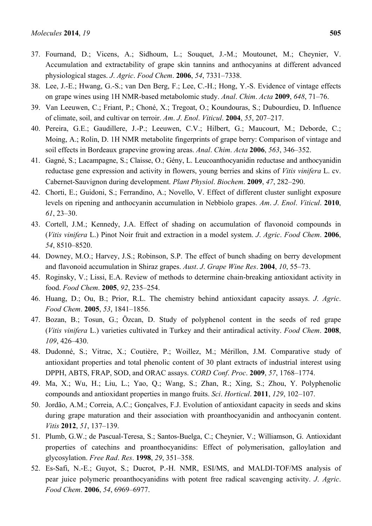- 37. Fournand, D.; Vicens, A.; Sidhoum, L.; Souquet, J.-M.; Moutounet, M.; Cheynier, V. Accumulation and extractability of grape skin tannins and anthocyanins at different advanced physiological stages. *J*. *Agric*. *Food Chem*. **2006**, *54*, 7331–7338.
- 38. Lee, J.-E.; Hwang, G.-S.; van Den Berg, F.; Lee, C.-H.; Hong, Y.-S. Evidence of vintage effects on grape wines using 1H NMR-based metabolomic study. *Anal*. *Chim*. *Acta* **2009**, *648*, 71–76.
- 39. Van Leeuwen, C.; Friant, P.; Choné, X.; Tregoat, O.; Koundouras, S.; Dubourdieu, D. Influence of climate, soil, and cultivar on terroir. *Am*. *J*. *Enol*. *Viticul*. **2004**, *55*, 207–217.
- 40. Pereira, G.E.; Gaudillere, J.-P.; Leeuwen, C.V.; Hilbert, G.; Maucourt, M.; Deborde, C.; Moing, A.; Rolin, D. 1H NMR metabolite fingerprints of grape berry: Comparison of vintage and soil effects in Bordeaux grapevine growing areas. *Anal*. *Chim*. *Acta* **2006**, *563*, 346–352.
- 41. Gagné, S.; Lacampagne, S.; Claisse, O.; Gény, L. Leucoanthocyanidin reductase and anthocyanidin reductase gene expression and activity in flowers, young berries and skins of *Vitis vinifera* L. cv. Cabernet-Sauvignon during development. *Plant Physiol*. *Biochem*. **2009**, *47*, 282–290.
- 42. Chorti, E.; Guidoni, S.; Ferrandino, A.; Novello, V. Effect of different cluster sunlight exposure levels on ripening and anthocyanin accumulation in Nebbiolo grapes. *Am*. *J*. *Enol*. *Viticul*. **2010**, *61*, 23–30.
- 43. Cortell, J.M.; Kennedy, J.A. Effect of shading on accumulation of flavonoid compounds in (*Vitis vinifera* L.) Pinot Noir fruit and extraction in a model system. *J*. *Agric*. *Food Chem*. **2006**, *54*, 8510–8520.
- 44. Downey, M.O.; Harvey, J.S.; Robinson, S.P. The effect of bunch shading on berry development and flavonoid accumulation in Shiraz grapes. *Aust*. *J*. *Grape Wine Res*. **2004**, *10*, 55–73.
- 45. Roginsky, V.; Lissi, E.A. Review of methods to determine chain-breaking antioxidant activity in food. *Food Chem*. **2005**, *92*, 235–254.
- 46. Huang, D.; Ou, B.; Prior, R.L. The chemistry behind antioxidant capacity assays. *J*. *Agric*. *Food Chem*. **2005**, *53*, 1841–1856.
- 47. Bozan, B.; Tosun, G.; Özcan, D. Study of polyphenol content in the seeds of red grape (*Vitis vinifera* L.) varieties cultivated in Turkey and their antiradical activity. *Food Chem*. **2008**, *109*, 426–430.
- 48. Dudonné, S.; Vitrac, X.; Coutière, P.; Woillez, M.; Mérillon, J.M. Comparative study of antioxidant properties and total phenolic content of 30 plant extracts of industrial interest using DPPH, ABTS, FRAP, SOD, and ORAC assays. *CORD Conf*. *Proc*. **2009**, *57*, 1768–1774.
- 49. Ma, X.; Wu, H.; Liu, L.; Yao, Q.; Wang, S.; Zhan, R.; Xing, S.; Zhou, Y. Polyphenolic compounds and antioxidant properties in mango fruits. *Sci*. *Horticul*. **2011**, *129*, 102–107.
- 50. Jordão, A.M.; Correia, A.C.; Gonçalves, F.J. Evolution of antioxidant capacity in seeds and skins during grape maturation and their association with proanthocyanidin and anthocyanin content. *Vitis* **2012**, *51*, 137–139.
- 51. Plumb, G.W.; de Pascual-Teresa, S.; Santos-Buelga, C.; Cheynier, V.; Williamson, G. Antioxidant properties of catechins and proanthocyanidins: Effect of polymerisation, galloylation and glycosylation. *Free Rad*. *Res*. **1998**, *29*, 351–358.
- 52. Es-Safi, N.-E.; Guyot, S.; Ducrot, P.-H. NMR, ESI/MS, and MALDI-TOF/MS analysis of pear juice polymeric proanthocyanidins with potent free radical scavenging activity. *J*. *Agric*. *Food Chem*. **2006**, *54*, 6969–6977.